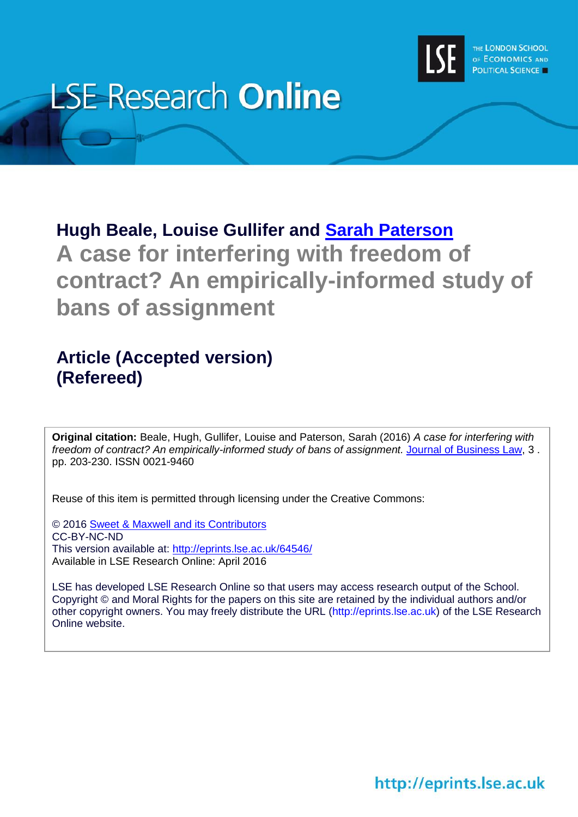

# **LSE Research Online**

## **Hugh Beale, Louise Gullifer and [Sarah Paterson](https://www.lse.ac.uk/collections/law/staff/sarah-paterson.htm) A case for interfering with freedom of contract? An empirically-informed study of bans of assignment**

### **Article (Accepted version) (Refereed)**

**Original citation:** Beale, Hugh, Gullifer, Louise and Paterson, Sarah (2016) *A case for interfering with freedom of contract? An empirically-informed study of bans of assignment.* [Journal of Business Law,](http://www.sweetandmaxwell.co.uk/Catalogue/ProductDetails.aspx?recordid=476) 3 . pp. 203-230. ISSN 0021-9460

Reuse of this item is permitted through licensing under the Creative Commons:

© 2016 [Sweet & Maxwell and its Contributors](http://www.sweetandmaxwell.co.uk/default.aspx?) CC-BY-NC-ND This version available at:<http://eprints.lse.ac.uk/64546/> Available in LSE Research Online: April 2016

LSE has developed LSE Research Online so that users may access research output of the School. Copyright © and Moral Rights for the papers on this site are retained by the individual authors and/or other copyright owners. You may freely distribute the URL (http://eprints.lse.ac.uk) of the LSE Research Online website.

http://eprints.lse.ac.uk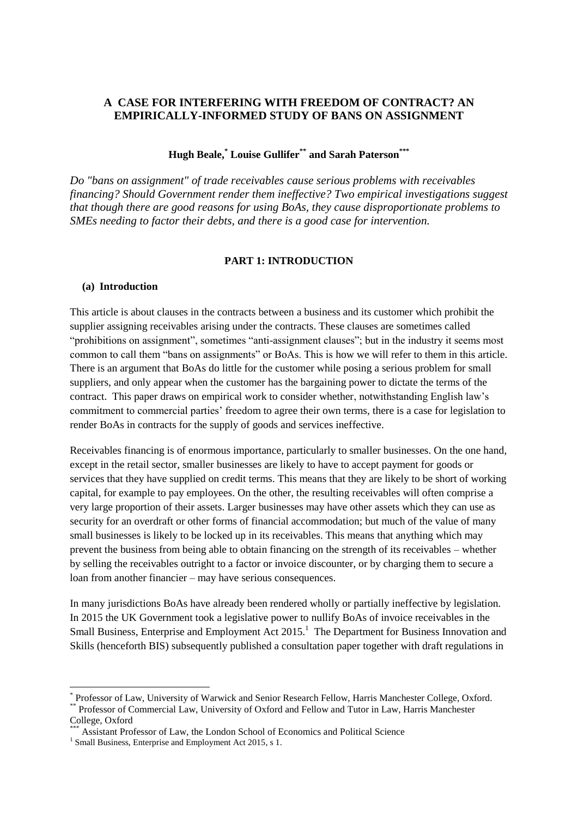#### **A CASE FOR INTERFERING WITH FREEDOM OF CONTRACT? AN EMPIRICALLY-INFORMED STUDY OF BANS ON ASSIGNMENT**

#### **Hugh Beale,\* Louise Gullifer\*\* and Sarah Paterson\*\*\***

*Do "bans on assignment" of trade receivables cause serious problems with receivables financing? Should Government render them ineffective? Two empirical investigations suggest that though there are good reasons for using BoAs, they cause disproportionate problems to SMEs needing to factor their debts, and there is a good case for intervention.*

#### **PART 1: INTRODUCTION**

#### **(a) Introduction**

This article is about clauses in the contracts between a business and its customer which prohibit the supplier assigning receivables arising under the contracts. These clauses are sometimes called "prohibitions on assignment", sometimes "anti-assignment clauses"; but in the industry it seems most common to call them "bans on assignments" or BoAs. This is how we will refer to them in this article. There is an argument that BoAs do little for the customer while posing a serious problem for small suppliers, and only appear when the customer has the bargaining power to dictate the terms of the contract. This paper draws on empirical work to consider whether, notwithstanding English law's commitment to commercial parties' freedom to agree their own terms, there is a case for legislation to render BoAs in contracts for the supply of goods and services ineffective.

Receivables financing is of enormous importance, particularly to smaller businesses. On the one hand, except in the retail sector, smaller businesses are likely to have to accept payment for goods or services that they have supplied on credit terms. This means that they are likely to be short of working capital, for example to pay employees. On the other, the resulting receivables will often comprise a very large proportion of their assets. Larger businesses may have other assets which they can use as security for an overdraft or other forms of financial accommodation; but much of the value of many small businesses is likely to be locked up in its receivables. This means that anything which may prevent the business from being able to obtain financing on the strength of its receivables – whether by selling the receivables outright to a factor or invoice discounter, or by charging them to secure a loan from another financier – may have serious consequences.

In many jurisdictions BoAs have already been rendered wholly or partially ineffective by legislation. In 2015 the UK Government took a legislative power to nullify BoAs of invoice receivables in the Small Business, Enterprise and Employment Act 2015.<sup>1</sup> The Department for Business Innovation and Skills (henceforth BIS) subsequently published a consultation paper together with draft regulations in

<u>.</u>

<sup>\*</sup> Professor of Law, University of Warwick and Senior Research Fellow, Harris Manchester College, Oxford. \*\* Professor of Commercial Law, University of Oxford and Fellow and Tutor in Law, Harris Manchester

College, Oxford

Assistant Professor of Law, the London School of Economics and Political Science

<sup>&</sup>lt;sup>1</sup> Small Business, Enterprise and Employment Act 2015, s 1.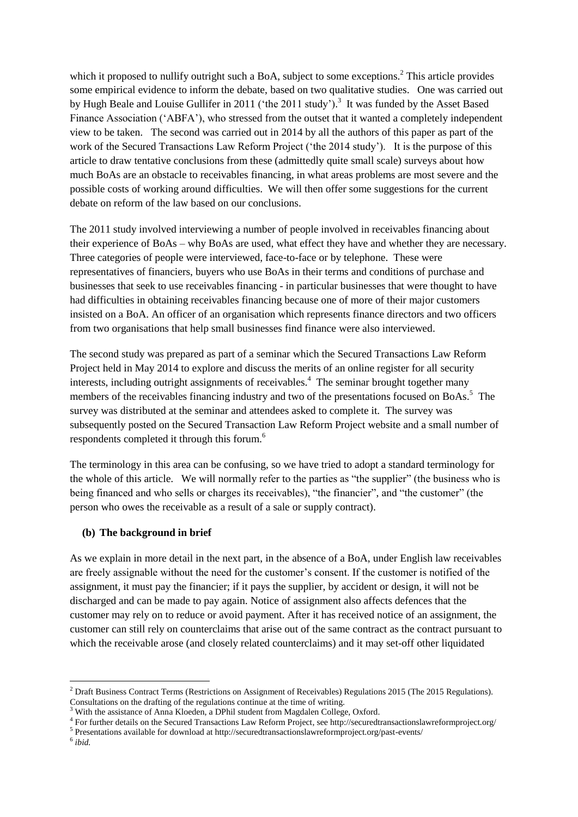which it proposed to nullify outright such a BoA, subject to some exceptions.<sup>2</sup> This article provides some empirical evidence to inform the debate, based on two qualitative studies. One was carried out by Hugh Beale and Louise Gullifer in 2011 ('the 2011 study').<sup>3</sup> It was funded by the Asset Based Finance Association ('ABFA'), who stressed from the outset that it wanted a completely independent view to be taken. The second was carried out in 2014 by all the authors of this paper as part of the work of the Secured Transactions Law Reform Project ('the 2014 study'). It is the purpose of this article to draw tentative conclusions from these (admittedly quite small scale) surveys about how much BoAs are an obstacle to receivables financing, in what areas problems are most severe and the possible costs of working around difficulties. We will then offer some suggestions for the current debate on reform of the law based on our conclusions.

The 2011 study involved interviewing a number of people involved in receivables financing about their experience of BoAs – why BoAs are used, what effect they have and whether they are necessary. Three categories of people were interviewed, face-to-face or by telephone. These were representatives of financiers, buyers who use BoAs in their terms and conditions of purchase and businesses that seek to use receivables financing - in particular businesses that were thought to have had difficulties in obtaining receivables financing because one of more of their major customers insisted on a BoA. An officer of an organisation which represents finance directors and two officers from two organisations that help small businesses find finance were also interviewed.

The second study was prepared as part of a seminar which the Secured Transactions Law Reform Project held in May 2014 to explore and discuss the merits of an online register for all security interests, including outright assignments of receivables. 4 The seminar brought together many members of the receivables financing industry and two of the presentations focused on BoAs.<sup>5</sup> The survey was distributed at the seminar and attendees asked to complete it. The survey was subsequently posted on the Secured Transaction Law Reform Project website and a small number of respondents completed it through this forum.<sup>6</sup>

The terminology in this area can be confusing, so we have tried to adopt a standard terminology for the whole of this article. We will normally refer to the parties as "the supplier" (the business who is being financed and who sells or charges its receivables), "the financier", and "the customer" (the person who owes the receivable as a result of a sale or supply contract).

#### **(b) The background in brief**

As we explain in more detail in the next part, in the absence of a BoA, under English law receivables are freely assignable without the need for the customer's consent. If the customer is notified of the assignment, it must pay the financier; if it pays the supplier, by accident or design, it will not be discharged and can be made to pay again. Notice of assignment also affects defences that the customer may rely on to reduce or avoid payment. After it has received notice of an assignment, the customer can still rely on counterclaims that arise out of the same contract as the contract pursuant to which the receivable arose (and closely related counterclaims) and it may set-off other liquidated

<sup>&</sup>lt;sup>2</sup> Draft Business Contract Terms (Restrictions on Assignment of Receivables) Regulations 2015 (The 2015 Regulations). Consultations on the drafting of the regulations continue at the time of writing.

<sup>&</sup>lt;sup>3</sup> With the assistance of Anna Kloeden, a DPhil student from Magdalen College, Oxford.

<sup>4</sup> For further details on the Secured Transactions Law Reform Project, see http://securedtransactionslawreformproject.org/ <sup>5</sup> Presentations available for download at http://securedtransactionslawreformproject.org/past-events/

<sup>6</sup> *ibid.*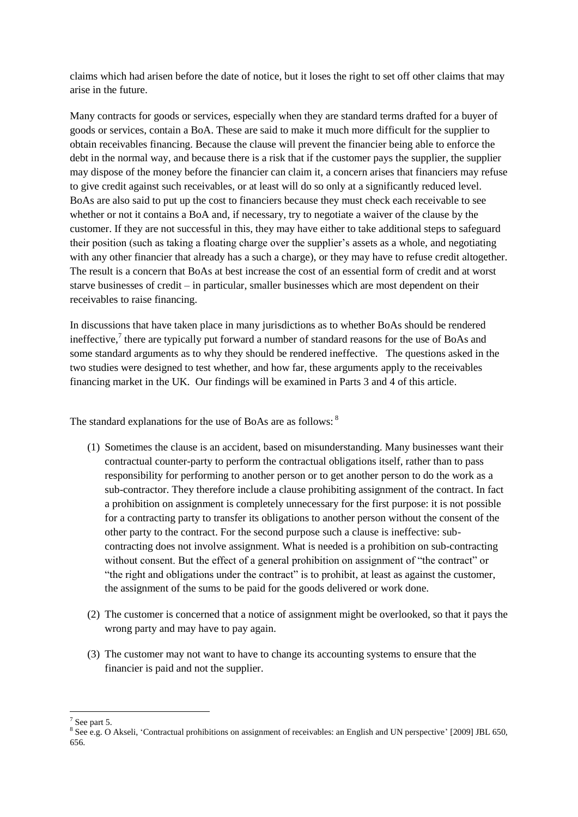claims which had arisen before the date of notice, but it loses the right to set off other claims that may arise in the future.

Many contracts for goods or services, especially when they are standard terms drafted for a buyer of goods or services, contain a BoA. These are said to make it much more difficult for the supplier to obtain receivables financing. Because the clause will prevent the financier being able to enforce the debt in the normal way, and because there is a risk that if the customer pays the supplier, the supplier may dispose of the money before the financier can claim it, a concern arises that financiers may refuse to give credit against such receivables, or at least will do so only at a significantly reduced level. BoAs are also said to put up the cost to financiers because they must check each receivable to see whether or not it contains a BoA and, if necessary, try to negotiate a waiver of the clause by the customer. If they are not successful in this, they may have either to take additional steps to safeguard their position (such as taking a floating charge over the supplier's assets as a whole, and negotiating with any other financier that already has a such a charge), or they may have to refuse credit altogether. The result is a concern that BoAs at best increase the cost of an essential form of credit and at worst starve businesses of credit – in particular, smaller businesses which are most dependent on their receivables to raise financing.

In discussions that have taken place in many jurisdictions as to whether BoAs should be rendered ineffective, $\alpha$  there are typically put forward a number of standard reasons for the use of BoAs and some standard arguments as to why they should be rendered ineffective. The questions asked in the two studies were designed to test whether, and how far, these arguments apply to the receivables financing market in the UK. Our findings will be examined in Parts 3 and 4 of this article.

The standard explanations for the use of BoAs are as follows:  $8$ 

- (1) Sometimes the clause is an accident, based on misunderstanding. Many businesses want their contractual counter-party to perform the contractual obligations itself, rather than to pass responsibility for performing to another person or to get another person to do the work as a sub-contractor. They therefore include a clause prohibiting assignment of the contract. In fact a prohibition on assignment is completely unnecessary for the first purpose: it is not possible for a contracting party to transfer its obligations to another person without the consent of the other party to the contract. For the second purpose such a clause is ineffective: subcontracting does not involve assignment. What is needed is a prohibition on sub-contracting without consent. But the effect of a general prohibition on assignment of "the contract" or "the right and obligations under the contract" is to prohibit, at least as against the customer, the assignment of the sums to be paid for the goods delivered or work done.
- (2) The customer is concerned that a notice of assignment might be overlooked, so that it pays the wrong party and may have to pay again.
- (3) The customer may not want to have to change its accounting systems to ensure that the financier is paid and not the supplier.

 $7$  See part 5.

<sup>&</sup>lt;sup>8</sup> See e.g. O Akseli, 'Contractual prohibitions on assignment of receivables: an English and UN perspective' [2009] JBL 650, 656.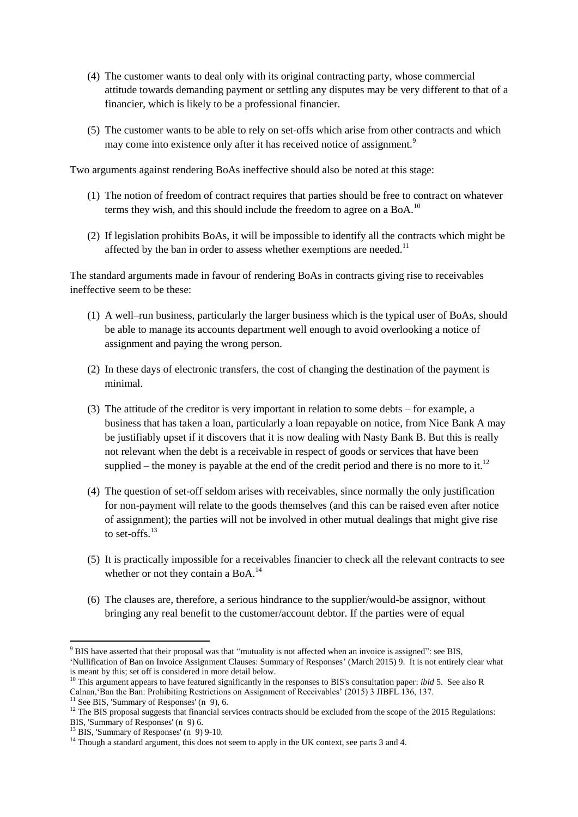- (4) The customer wants to deal only with its original contracting party, whose commercial attitude towards demanding payment or settling any disputes may be very different to that of a financier, which is likely to be a professional financier.
- (5) The customer wants to be able to rely on set-offs which arise from other contracts and which may come into existence only after it has received notice of assignment.<sup>9</sup>

Two arguments against rendering BoAs ineffective should also be noted at this stage:

- (1) The notion of freedom of contract requires that parties should be free to contract on whatever terms they wish, and this should include the freedom to agree on a BoA.<sup>10</sup>
- (2) If legislation prohibits BoAs, it will be impossible to identify all the contracts which might be affected by the ban in order to assess whether exemptions are needed.<sup>11</sup>

The standard arguments made in favour of rendering BoAs in contracts giving rise to receivables ineffective seem to be these:

- (1) A well–run business, particularly the larger business which is the typical user of BoAs, should be able to manage its accounts department well enough to avoid overlooking a notice of assignment and paying the wrong person.
- (2) In these days of electronic transfers, the cost of changing the destination of the payment is minimal.
- (3) The attitude of the creditor is very important in relation to some debts for example, a business that has taken a loan, particularly a loan repayable on notice, from Nice Bank A may be justifiably upset if it discovers that it is now dealing with Nasty Bank B. But this is really not relevant when the debt is a receivable in respect of goods or services that have been supplied – the money is payable at the end of the credit period and there is no more to it.<sup>12</sup>
- (4) The question of set-off seldom arises with receivables, since normally the only justification for non-payment will relate to the goods themselves (and this can be raised even after notice of assignment); the parties will not be involved in other mutual dealings that might give rise to set-offs. $^{13}$
- (5) It is practically impossible for a receivables financier to check all the relevant contracts to see whether or not they contain a BoA.<sup>14</sup>
- (6) The clauses are, therefore, a serious hindrance to the supplier/would-be assignor, without bringing any real benefit to the customer/account debtor. If the parties were of equal

<u>.</u>

<sup>&</sup>lt;sup>9</sup> BIS have asserted that their proposal was that "mutuality is not affected when an invoice is assigned": see BIS, 'Nullification of Ban on Invoice Assignment Clauses: Summary of Responses' (March 2015) 9. It is not entirely clear what is meant by this; set off is considered in more detail below.

<sup>10</sup> This argument appears to have featured significantly in the responses to BIS's consultation paper: *ibid* 5. See also R Calnan,'Ban the Ban: Prohibiting Restrictions on Assignment of Receivables' (2015) 3 JIBFL 136, 137.

 $11$  See BIS, 'Summary of Responses' (n 9), 6.

<sup>&</sup>lt;sup>12</sup> The BIS proposal suggests that financial services contracts should be excluded from the scope of the 2015 Regulations: BIS, 'Summary of Responses' (n 9) 6.

<sup>&</sup>lt;sup>13</sup> BIS, 'Summary of Responses' (n  $\frac{9}{9}$ ) 9-10.

<sup>&</sup>lt;sup>14</sup> Though a standard argument, this does not seem to apply in the UK context, see parts 3 and 4.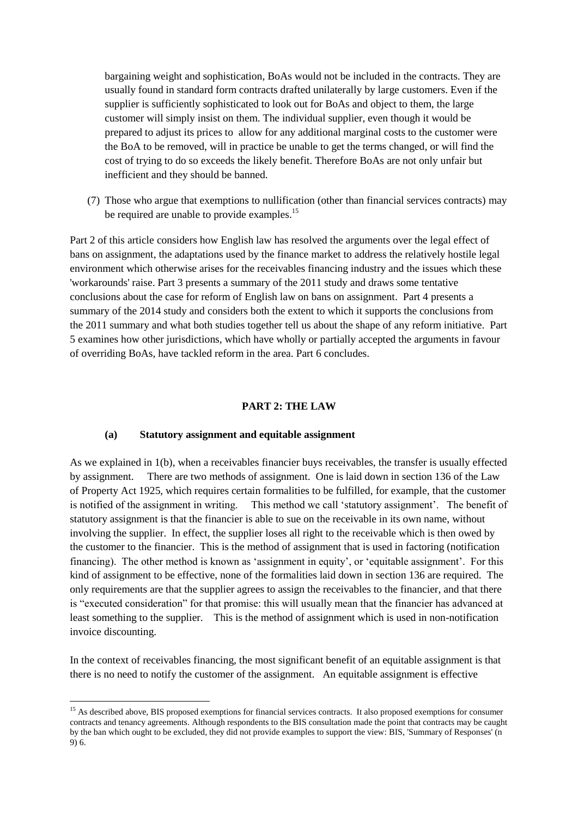bargaining weight and sophistication, BoAs would not be included in the contracts. They are usually found in standard form contracts drafted unilaterally by large customers. Even if the supplier is sufficiently sophisticated to look out for BoAs and object to them, the large customer will simply insist on them. The individual supplier, even though it would be prepared to adjust its prices to allow for any additional marginal costs to the customer were the BoA to be removed, will in practice be unable to get the terms changed, or will find the cost of trying to do so exceeds the likely benefit. Therefore BoAs are not only unfair but inefficient and they should be banned.

(7) Those who argue that exemptions to nullification (other than financial services contracts) may be required are unable to provide examples.<sup>15</sup>

Part 2 of this article considers how English law has resolved the arguments over the legal effect of bans on assignment, the adaptations used by the finance market to address the relatively hostile legal environment which otherwise arises for the receivables financing industry and the issues which these 'workarounds' raise. Part 3 presents a summary of the 2011 study and draws some tentative conclusions about the case for reform of English law on bans on assignment. Part 4 presents a summary of the 2014 study and considers both the extent to which it supports the conclusions from the 2011 summary and what both studies together tell us about the shape of any reform initiative. Part 5 examines how other jurisdictions, which have wholly or partially accepted the arguments in favour of overriding BoAs, have tackled reform in the area. Part 6 concludes.

#### **PART 2: THE LAW**

#### **(a) Statutory assignment and equitable assignment**

<u>.</u>

As we explained in 1(b), when a receivables financier buys receivables, the transfer is usually effected by assignment. There are two methods of assignment. One is laid down in section 136 of the Law of Property Act 1925, which requires certain formalities to be fulfilled, for example, that the customer is notified of the assignment in writing. This method we call 'statutory assignment'. The benefit of statutory assignment is that the financier is able to sue on the receivable in its own name, without involving the supplier. In effect, the supplier loses all right to the receivable which is then owed by the customer to the financier. This is the method of assignment that is used in factoring (notification financing). The other method is known as 'assignment in equity', or 'equitable assignment'. For this kind of assignment to be effective, none of the formalities laid down in section 136 are required. The only requirements are that the supplier agrees to assign the receivables to the financier, and that there is "executed consideration" for that promise: this will usually mean that the financier has advanced at least something to the supplier. This is the method of assignment which is used in non-notification invoice discounting.

In the context of receivables financing, the most significant benefit of an equitable assignment is that there is no need to notify the customer of the assignment. An equitable assignment is effective

<sup>&</sup>lt;sup>15</sup> As described above, BIS proposed exemptions for financial services contracts. It also proposed exemptions for consumer contracts and tenancy agreements. Although respondents to the BIS consultation made the point that contracts may be caught by the ban which ought to be excluded, they did not provide examples to support the view: BIS, 'Summary of Responses' (n 9) 6.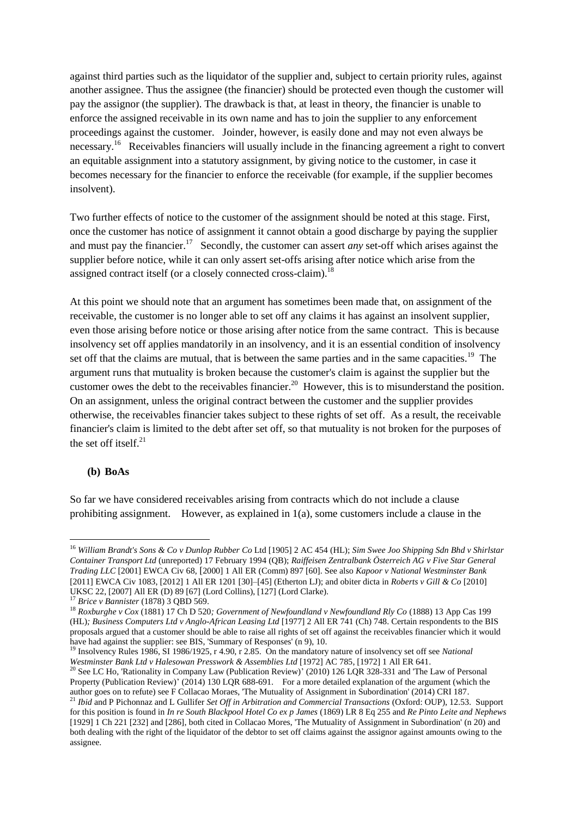against third parties such as the liquidator of the supplier and, subject to certain priority rules, against another assignee. Thus the assignee (the financier) should be protected even though the customer will pay the assignor (the supplier). The drawback is that, at least in theory, the financier is unable to enforce the assigned receivable in its own name and has to join the supplier to any enforcement proceedings against the customer. Joinder, however, is easily done and may not even always be necessary.<sup>16</sup> Receivables financiers will usually include in the financing agreement a right to convert an equitable assignment into a statutory assignment, by giving notice to the customer, in case it becomes necessary for the financier to enforce the receivable (for example, if the supplier becomes insolvent).

Two further effects of notice to the customer of the assignment should be noted at this stage. First, once the customer has notice of assignment it cannot obtain a good discharge by paying the supplier and must pay the financier.<sup>17</sup> Secondly, the customer can assert *any* set-off which arises against the supplier before notice, while it can only assert set-offs arising after notice which arise from the assigned contract itself (or a closely connected cross-claim).<sup>18</sup>

At this point we should note that an argument has sometimes been made that, on assignment of the receivable, the customer is no longer able to set off any claims it has against an insolvent supplier, even those arising before notice or those arising after notice from the same contract. This is because insolvency set off applies mandatorily in an insolvency, and it is an essential condition of insolvency set off that the claims are mutual, that is between the same parties and in the same capacities.<sup>19</sup> The argument runs that mutuality is broken because the customer's claim is against the supplier but the customer owes the debt to the receivables financier.<sup>20</sup> However, this is to misunderstand the position. On an assignment, unless the original contract between the customer and the supplier provides otherwise, the receivables financier takes subject to these rights of set off. As a result, the receivable financier's claim is limited to the debt after set off, so that mutuality is not broken for the purposes of the set off itself. $^{21}$ 

#### **(b) BoAs**

<u>.</u>

So far we have considered receivables arising from contracts which do not include a clause prohibiting assignment. However, as explained in 1(a), some customers include a clause in the

<sup>16</sup> *William Brandt's Sons & Co v Dunlop Rubber Co* Ltd [1905] 2 AC 454 (HL); *Sim Swee Joo Shipping Sdn Bhd v Shirlstar Container Transport Ltd* (unreported) 17 February 1994 (QB); *Raiffeisen Zentralbank Österreich AG v Five Star General Trading LLC* [2001] EWCA Civ 68, [2000] 1 All ER (Comm) 897 [60]. See also *Kapoor v National Westminster Bank* [2011] EWCA Civ 1083, [2012] 1 All ER 1201 [30]–[45] (Etherton LJ); and obiter dicta in *Roberts v Gill & Co* [2010] UKSC 22, [2007] All ER (D) 89 [67] (Lord Collins), [127] (Lord Clarke).

<sup>17</sup> *Brice v Bannister* (1878) 3 QBD 569.

<sup>18</sup> *Roxburghe v Cox* (1881) 17 Ch D 520*; Government of Newfoundland v Newfoundland Rly Co* (1888) 13 App Cas 199 (HL)*; Business Computers Ltd v Anglo-African Leasing Ltd* [1977] 2 All ER 741 (Ch) 748. Certain respondents to the BIS proposals argued that a customer should be able to raise all rights of set off against the receivables financier which it would have had against the supplier: see BIS, 'Summary of Responses' (n 9), 10.

<sup>19</sup> Insolvency Rules 1986, SI 1986/1925, r 4.90, r 2.85. On the mandatory nature of insolvency set off see *National Westminster Bank Ltd v Halesowan Presswork & Assemblies Ltd* [1972] AC 785, [1972] 1 All ER 641.

<sup>&</sup>lt;sup>20</sup> See LC Ho, 'Rationality in Company Law (Publication Review)<sup>'</sup> (2010) 126 LQR 328-331 and 'The Law of Personal Property (Publication Review)' (2014) 130 LQR 688-691. For a more detailed explanation of the argument (which the author goes on to refute) see F Collacao Moraes, 'The Mutuality of Assignment in Subordination' (2014) CRI 187.

<sup>21</sup> *Ibid* and P Pichonnaz and L Gullifer *Set Off in Arbitration and Commercial Transactions* (Oxford: OUP), 12.53. Support for this position is found in *In re South Blackpool Hotel Co ex p James* (1869) LR 8 Eq 255 and *Re Pinto Leite and Nephews* [1929] 1 Ch 221 [232] and [286], both cited in Collacao Mores, 'The Mutuality of Assignment in Subordination' (n 20) and both dealing with the right of the liquidator of the debtor to set off claims against the assignor against amounts owing to the assignee.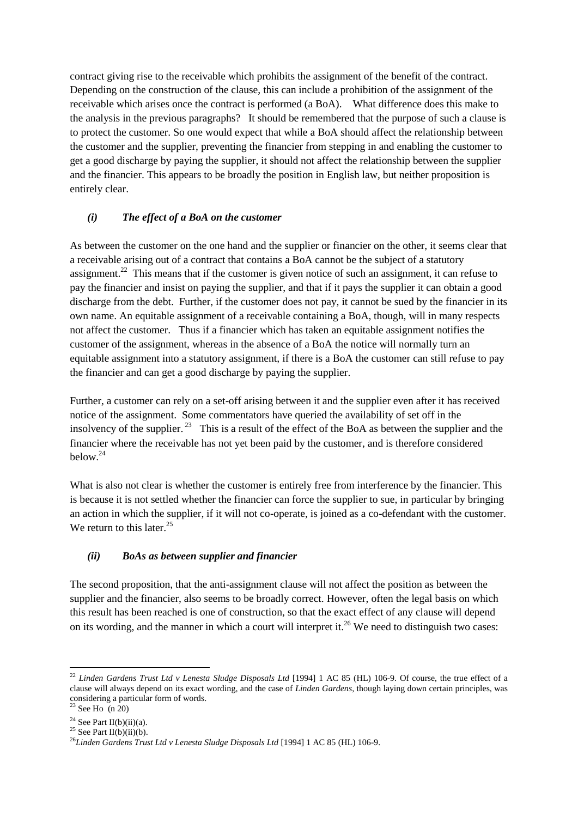contract giving rise to the receivable which prohibits the assignment of the benefit of the contract. Depending on the construction of the clause, this can include a prohibition of the assignment of the receivable which arises once the contract is performed (a BoA). What difference does this make to the analysis in the previous paragraphs? It should be remembered that the purpose of such a clause is to protect the customer. So one would expect that while a BoA should affect the relationship between the customer and the supplier, preventing the financier from stepping in and enabling the customer to get a good discharge by paying the supplier, it should not affect the relationship between the supplier and the financier. This appears to be broadly the position in English law, but neither proposition is entirely clear.

#### *(i) The effect of a BoA on the customer*

As between the customer on the one hand and the supplier or financier on the other, it seems clear that a receivable arising out of a contract that contains a BoA cannot be the subject of a statutory assignment.<sup>22</sup> This means that if the customer is given notice of such an assignment, it can refuse to pay the financier and insist on paying the supplier, and that if it pays the supplier it can obtain a good discharge from the debt. Further, if the customer does not pay, it cannot be sued by the financier in its own name. An equitable assignment of a receivable containing a BoA, though, will in many respects not affect the customer. Thus if a financier which has taken an equitable assignment notifies the customer of the assignment, whereas in the absence of a BoA the notice will normally turn an equitable assignment into a statutory assignment, if there is a BoA the customer can still refuse to pay the financier and can get a good discharge by paying the supplier.

Further, a customer can rely on a set-off arising between it and the supplier even after it has received notice of the assignment. Some commentators have queried the availability of set off in the insolvency of the supplier.<sup>23</sup> This is a result of the effect of the BoA as between the supplier and the financier where the receivable has not yet been paid by the customer, and is therefore considered below.<sup>24</sup>

What is also not clear is whether the customer is entirely free from interference by the financier. This is because it is not settled whether the financier can force the supplier to sue, in particular by bringing an action in which the supplier, if it will not co-operate, is joined as a co-defendant with the customer. We return to this later.<sup>25</sup>

#### *(ii) BoAs as between supplier and financier*

The second proposition, that the anti-assignment clause will not affect the position as between the supplier and the financier, also seems to be broadly correct. However, often the legal basis on which this result has been reached is one of construction, so that the exact effect of any clause will depend on its wording, and the manner in which a court will interpret it.<sup>26</sup> We need to distinguish two cases:

<u>.</u>

<sup>22</sup> *Linden Gardens Trust Ltd v Lenesta Sludge Disposals Ltd* [1994] 1 AC 85 (HL) 106-9. Of course, the true effect of a clause will always depend on its exact wording, and the case of *Linden Gardens*, though laying down certain principles, was considering a particular form of words.

 $23$  See Ho (n 20)

<sup>&</sup>lt;sup>24</sup> See Part II(b)(ii)(a).

 $25$  See Part II(b)(ii)(b).

<sup>&</sup>lt;sup>26</sup>Linden Gardens Trust Ltd v Lenesta Sludge Disposals Ltd [1994] 1 AC 85 (HL) 106-9.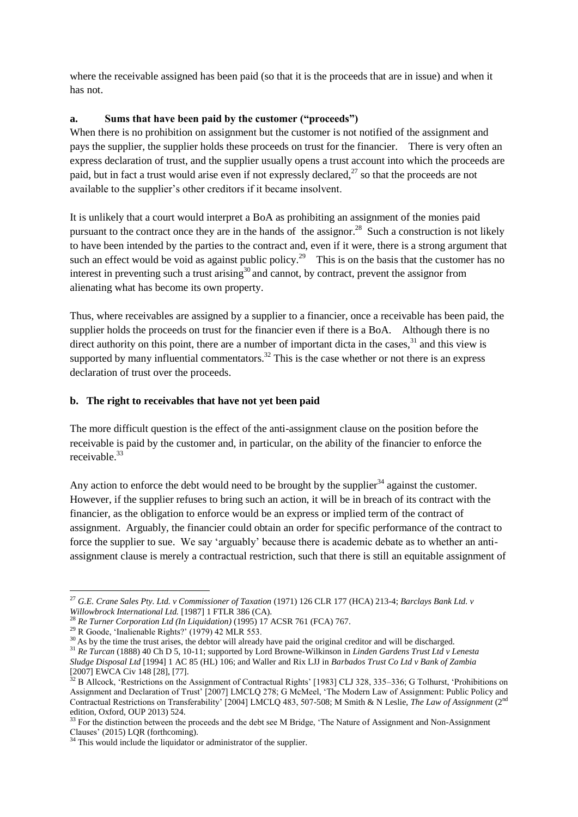where the receivable assigned has been paid (so that it is the proceeds that are in issue) and when it has not.

#### **a. Sums that have been paid by the customer ("proceeds")**

When there is no prohibition on assignment but the customer is not notified of the assignment and pays the supplier, the supplier holds these proceeds on trust for the financier. There is very often an express declaration of trust, and the supplier usually opens a trust account into which the proceeds are paid, but in fact a trust would arise even if not expressly declared, $27$  so that the proceeds are not available to the supplier's other creditors if it became insolvent.

It is unlikely that a court would interpret a BoA as prohibiting an assignment of the monies paid pursuant to the contract once they are in the hands of the assignor.<sup>28</sup> Such a construction is not likely to have been intended by the parties to the contract and, even if it were, there is a strong argument that such an effect would be void as against public policy.<sup>29</sup> This is on the basis that the customer has no interest in preventing such a trust arising<sup>30</sup> and cannot, by contract, prevent the assignor from alienating what has become its own property.

Thus, where receivables are assigned by a supplier to a financier, once a receivable has been paid, the supplier holds the proceeds on trust for the financier even if there is a BoA. Although there is no direct authority on this point, there are a number of important dicta in the cases,  $31$  and this view is supported by many influential commentators.<sup>32</sup> This is the case whether or not there is an express declaration of trust over the proceeds.

#### **b. The right to receivables that have not yet been paid**

The more difficult question is the effect of the anti-assignment clause on the position before the receivable is paid by the customer and, in particular, on the ability of the financier to enforce the receivable.<sup>33</sup>

Any action to enforce the debt would need to be brought by the supplier<sup>34</sup> against the customer. However, if the supplier refuses to bring such an action, it will be in breach of its contract with the financier, as the obligation to enforce would be an express or implied term of the contract of assignment. Arguably, the financier could obtain an order for specific performance of the contract to force the supplier to sue. We say 'arguably' because there is academic debate as to whether an antiassignment clause is merely a contractual restriction, such that there is still an equitable assignment of

<u>.</u>

<sup>27</sup> *G.E. Crane Sales Pty. Ltd. v Commissioner of Taxation* (1971) 126 CLR 177 (HCA) 213-4; *Barclays Bank Ltd. v Willowbrock International Ltd.* [1987] 1 FTLR 386 (CA).

<sup>&</sup>lt;sup>3</sup> Re Turner Corporation Ltd (In Liquidation) (1995) 17 ACSR 761 (FCA) 767.

 $^{29}$  R Goode, 'Inalienable Rights?' (1979) 42 MLR 553.

<sup>&</sup>lt;sup>30</sup> As by the time the trust arises, the debtor will already have paid the original creditor and will be discharged.

<sup>31</sup> *Re Turcan* (1888) 40 Ch D 5, 10-11; supported by Lord Browne-Wilkinson in *Linden Gardens Trust Ltd v Lenesta Sludge Disposal Ltd* [1994] 1 AC 85 (HL) 106; and Waller and Rix LJJ in *Barbados Trust Co Ltd v Bank of Zambia* [2007] EWCA Civ 148 [28], [77].

 $32$  B Allcock, 'Restrictions on the Assignment of Contractual Rights' [1983] CLJ 328, 335–336; G Tolhurst, 'Prohibitions on Assignment and Declaration of Trust' [2007] LMCLQ 278; G McMeel, 'The Modern Law of Assignment: Public Policy and Contractual Restrictions on Transferability' [2004] LMCLQ 483, 507-508; M Smith & N Leslie, *The Law of Assignment* (2nd edition, Oxford, OUP 2013) 524.

<sup>&</sup>lt;sup>33</sup> For the distinction between the proceeds and the debt see M Bridge, 'The Nature of Assignment and Non-Assignment Clauses' (2015) LQR (forthcoming).

<sup>&</sup>lt;sup>34</sup> This would include the liquidator or administrator of the supplier.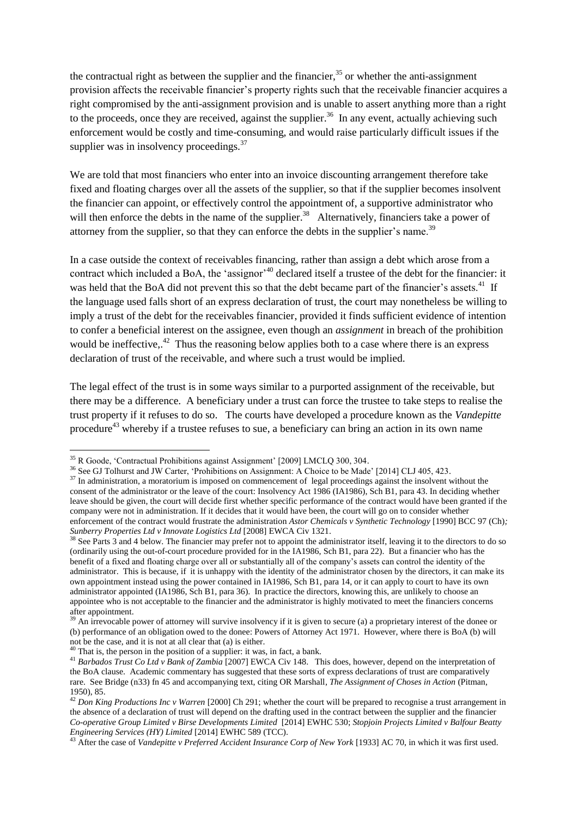the contractual right as between the supplier and the financier,<sup>35</sup> or whether the anti-assignment provision affects the receivable financier's property rights such that the receivable financier acquires a right compromised by the anti-assignment provision and is unable to assert anything more than a right to the proceeds, once they are received, against the supplier.<sup>36</sup> In any event, actually achieving such enforcement would be costly and time-consuming, and would raise particularly difficult issues if the supplier was in insolvency proceedings. $37$ 

We are told that most financiers who enter into an invoice discounting arrangement therefore take fixed and floating charges over all the assets of the supplier, so that if the supplier becomes insolvent the financier can appoint, or effectively control the appointment of, a supportive administrator who will then enforce the debts in the name of the supplier.<sup>38</sup> Alternatively, financiers take a power of attorney from the supplier, so that they can enforce the debts in the supplier's name.<sup>39</sup>

In a case outside the context of receivables financing, rather than assign a debt which arose from a contract which included a BoA, the 'assignor<sup>'40</sup> declared itself a trustee of the debt for the financier: it was held that the BoA did not prevent this so that the debt became part of the financier's assets.<sup>41</sup> If the language used falls short of an express declaration of trust, the court may nonetheless be willing to imply a trust of the debt for the receivables financier, provided it finds sufficient evidence of intention to confer a beneficial interest on the assignee, even though an *assignment* in breach of the prohibition would be ineffective,.<sup>42</sup> Thus the reasoning below applies both to a case where there is an express declaration of trust of the receivable, and where such a trust would be implied.

The legal effect of the trust is in some ways similar to a purported assignment of the receivable, but there may be a difference. A beneficiary under a trust can force the trustee to take steps to realise the trust property if it refuses to do so. The courts have developed a procedure known as the *Vandepitte* procedure<sup>43</sup> whereby if a trustee refuses to sue, a beneficiary can bring an action in its own name

<sup>&</sup>lt;sup>35</sup> R Goode, 'Contractual Prohibitions against Assignment' [2009] LMCLQ 300, 304.

<sup>&</sup>lt;sup>36</sup> See GJ Tolhurst and JW Carter, 'Prohibitions on Assignment: A Choice to be Made' [2014] CLJ 405, 423.

<sup>&</sup>lt;sup>37</sup> In administration, a moratorium is imposed on commencement of legal proceedings against the insolvent without the consent of the administrator or the leave of the court: Insolvency Act 1986 (IA1986), Sch B1, para 43. In deciding whether leave should be given, the court will decide first whether specific performance of the contract would have been granted if the company were not in administration. If it decides that it would have been, the court will go on to consider whether enforcement of the contract would frustrate the administration *Astor Chemicals v Synthetic Technology* [1990] BCC 97 (Ch)*; Sunberry Properties Ltd v Innovate Logistics Ltd* [2008] EWCA Civ 1321.

 $38$  See Parts  $3$  and 4 below. The financier may prefer not to appoint the administrator itself, leaving it to the directors to do so (ordinarily using the out-of-court procedure provided for in the IA1986, Sch B1, para 22). But a financier who has the benefit of a fixed and floating charge over all or substantially all of the company's assets can control the identity of the administrator. This is because, if it is unhappy with the identity of the administrator chosen by the directors, it can make its own appointment instead using the power contained in IA1986, Sch B1, para 14, or it can apply to court to have its own administrator appointed (IA1986, Sch B1, para 36). In practice the directors, knowing this, are unlikely to choose an appointee who is not acceptable to the financier and the administrator is highly motivated to meet the financiers concerns after appointment.

<sup>&</sup>lt;sup>39</sup> An irrevocable power of attorney will survive insolvency if it is given to secure (a) a proprietary interest of the donee or (b) performance of an obligation owed to the donee: Powers of Attorney Act 1971. However, where there is BoA (b) will not be the case, and it is not at all clear that (a) is either.

 $40$  That is, the person in the position of a supplier: it was, in fact, a bank.

<sup>41</sup> *Barbados Trust Co Ltd v Bank of Zambia* [2007] EWCA Civ 148. This does, however, depend on the interpretation of the BoA clause. Academic commentary has suggested that these sorts of express declarations of trust are comparatively rare. See Bridge (n33) fn 45 and accompanying text, citing OR Marshall, *The Assignment of Choses in Action* (Pitman, 1950), 85.

<sup>&</sup>lt;sup>42</sup> *Don King Productions Inc v Warren* [2000] Ch 291; whether the court will be prepared to recognise a trust arrangement in the absence of a declaration of trust will depend on the drafting used in the contract between the supplier and the financier *Co-operative Group Limited v Birse Developments Limited* [2014] EWHC 530; *Stopjoin Projects Limited v Balfour Beatty Engineering Services (HY) Limited* [2014] EWHC 589 (TCC).

<sup>43</sup> After the case of *Vandepitte v Preferred Accident Insurance Corp of New York* [1933] AC 70, in which it was first used.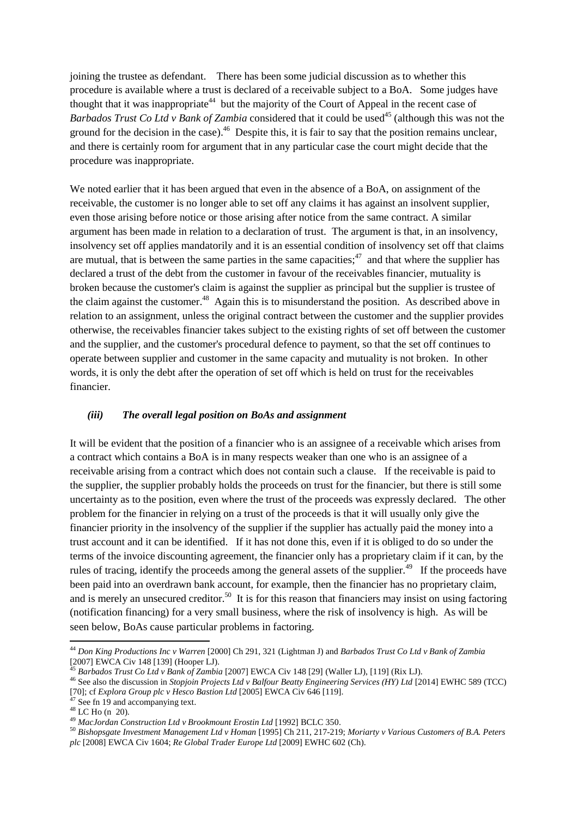joining the trustee as defendant. There has been some judicial discussion as to whether this procedure is available where a trust is declared of a receivable subject to a BoA. Some judges have thought that it was inappropriate<sup>44</sup> but the majority of the Court of Appeal in the recent case of *Barbados Trust Co Ltd v Bank of Zambia* considered that it could be used<sup>45</sup> (although this was not the ground for the decision in the case).<sup>46</sup> Despite this, it is fair to say that the position remains unclear, and there is certainly room for argument that in any particular case the court might decide that the procedure was inappropriate.

We noted earlier that it has been argued that even in the absence of a BoA, on assignment of the receivable, the customer is no longer able to set off any claims it has against an insolvent supplier, even those arising before notice or those arising after notice from the same contract. A similar argument has been made in relation to a declaration of trust. The argument is that, in an insolvency, insolvency set off applies mandatorily and it is an essential condition of insolvency set off that claims are mutual, that is between the same parties in the same capacities; $\frac{47}{1}$  and that where the supplier has declared a trust of the debt from the customer in favour of the receivables financier, mutuality is broken because the customer's claim is against the supplier as principal but the supplier is trustee of the claim against the customer.<sup>48</sup> Again this is to misunderstand the position. As described above in relation to an assignment, unless the original contract between the customer and the supplier provides otherwise, the receivables financier takes subject to the existing rights of set off between the customer and the supplier, and the customer's procedural defence to payment, so that the set off continues to operate between supplier and customer in the same capacity and mutuality is not broken. In other words, it is only the debt after the operation of set off which is held on trust for the receivables financier.

#### *(iii) The overall legal position on BoAs and assignment*

It will be evident that the position of a financier who is an assignee of a receivable which arises from a contract which contains a BoA is in many respects weaker than one who is an assignee of a receivable arising from a contract which does not contain such a clause. If the receivable is paid to the supplier, the supplier probably holds the proceeds on trust for the financier, but there is still some uncertainty as to the position, even where the trust of the proceeds was expressly declared. The other problem for the financier in relying on a trust of the proceeds is that it will usually only give the financier priority in the insolvency of the supplier if the supplier has actually paid the money into a trust account and it can be identified. If it has not done this, even if it is obliged to do so under the terms of the invoice discounting agreement, the financier only has a proprietary claim if it can, by the rules of tracing, identify the proceeds among the general assets of the supplier.<sup>49</sup> If the proceeds have been paid into an overdrawn bank account, for example, then the financier has no proprietary claim, and is merely an unsecured creditor.<sup>50</sup> It is for this reason that financiers may insist on using factoring (notification financing) for a very small business, where the risk of insolvency is high. As will be seen below, BoAs cause particular problems in factoring.

<u>.</u>

<sup>44</sup> *Don King Productions Inc v Warren* [2000] Ch 291, 321 (Lightman J) and *Barbados Trust Co Ltd v Bank of Zambia* [2007] EWCA Civ 148 [139] (Hooper LJ).

<sup>45</sup> *Barbados Trust Co Ltd v Bank of Zambia* [2007] EWCA Civ 148 [29] (Waller LJ), [119] (Rix LJ).

<sup>46</sup> See also the discussion in *Stopjoin Projects Ltd v Balfour Beatty Engineering Services (HY) Ltd* [2014] EWHC 589 (TCC) [70]; cf *Explora Group plc v Hesco Bastion Ltd* [2005] EWCA Civ 646 [119].

 $47$  See fn 19 and accompanying text.

 $48$  LC Ho (n 20).

<sup>49</sup> *MacJordan Construction Ltd v Brookmount Erostin Ltd* [1992] BCLC 350.

<sup>50</sup> *Bishopsgate Investment Management Ltd v Homan* [1995] Ch 211, 217-219; *Moriarty v Various Customers of B.A. Peters plc* [2008] EWCA Civ 1604; *Re Global Trader Europe Ltd* [2009] EWHC 602 (Ch).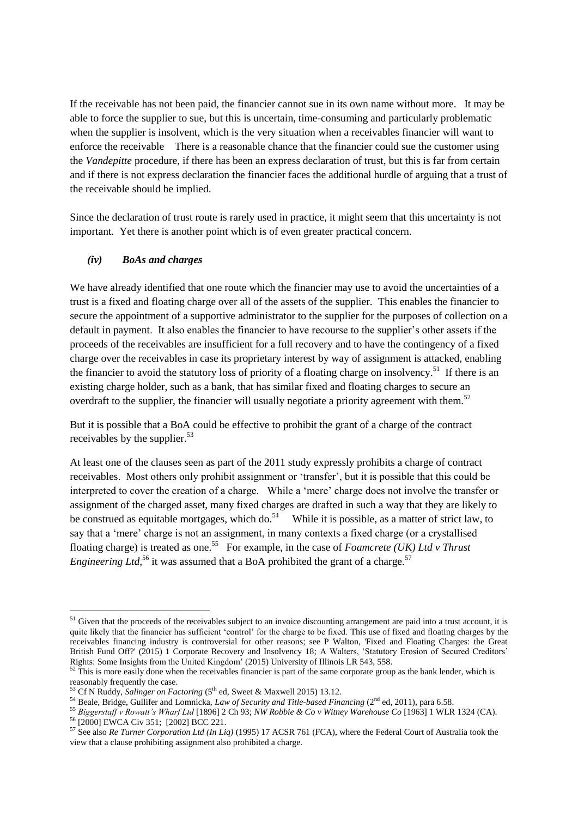If the receivable has not been paid, the financier cannot sue in its own name without more. It may be able to force the supplier to sue, but this is uncertain, time-consuming and particularly problematic when the supplier is insolvent, which is the very situation when a receivables financier will want to enforce the receivable There is a reasonable chance that the financier could sue the customer using the *Vandepitte* procedure, if there has been an express declaration of trust, but this is far from certain and if there is not express declaration the financier faces the additional hurdle of arguing that a trust of the receivable should be implied.

Since the declaration of trust route is rarely used in practice, it might seem that this uncertainty is not important. Yet there is another point which is of even greater practical concern.

#### *(iv) BoAs and charges*

1

We have already identified that one route which the financier may use to avoid the uncertainties of a trust is a fixed and floating charge over all of the assets of the supplier. This enables the financier to secure the appointment of a supportive administrator to the supplier for the purposes of collection on a default in payment. It also enables the financier to have recourse to the supplier's other assets if the proceeds of the receivables are insufficient for a full recovery and to have the contingency of a fixed charge over the receivables in case its proprietary interest by way of assignment is attacked, enabling the financier to avoid the statutory loss of priority of a floating charge on insolvency.<sup>51</sup> If there is an existing charge holder, such as a bank, that has similar fixed and floating charges to secure an overdraft to the supplier, the financier will usually negotiate a priority agreement with them.<sup>52</sup>

But it is possible that a BoA could be effective to prohibit the grant of a charge of the contract receivables by the supplier.<sup>53</sup>

At least one of the clauses seen as part of the 2011 study expressly prohibits a charge of contract receivables. Most others only prohibit assignment or 'transfer', but it is possible that this could be interpreted to cover the creation of a charge. While a 'mere' charge does not involve the transfer or assignment of the charged asset, many fixed charges are drafted in such a way that they are likely to be construed as equitable mortgages, which do.<sup>54</sup> While it is possible, as a matter of strict law, to say that a 'mere' charge is not an assignment, in many contexts a fixed charge (or a crystallised floating charge) is treated as one.<sup>55</sup> For example, in the case of *Foamcrete (UK) Ltd v Thrust Engineering Ltd*,<sup>56</sup> it was assumed that a BoA prohibited the grant of a charge.<sup>57</sup>

 $51$  Given that the proceeds of the receivables subject to an invoice discounting arrangement are paid into a trust account, it is quite likely that the financier has sufficient 'control' for the charge to be fixed. This use of fixed and floating charges by the receivables financing industry is controversial for other reasons; see P Walton, 'Fixed and Floating Charges: the Great British Fund Off?' (2015) 1 Corporate Recovery and Insolvency 18; A Walters, 'Statutory Erosion of Secured Creditors' Rights: Some Insights from the United Kingdom' (2015) University of Illinois LR 543, 558.

 $52$  This is more easily done when the receivables financier is part of the same corporate group as the bank lender, which is reasonably frequently the case.

<sup>&</sup>lt;sup>53</sup> Cf N Ruddy, *Salinger on Factoring* (5<sup>th</sup> ed, Sweet & Maxwell 2015) 13.12.

<sup>54</sup> Beale, Bridge, Gullifer and Lomnicka, *Law of Security and Title-based Financing* (2nd ed, 2011), para 6.58.

<sup>55</sup> *Biggerstaff v Rowatt's Wharf Ltd* [1896] 2 Ch 93; *NW Robbie & Co v Witney Warehouse Co* [1963] 1 WLR 1324 (CA). <sup>56</sup> [2000] EWCA Civ 351; [2002] BCC 221.

<sup>57</sup> See also *Re Turner Corporation Ltd (In Liq)* (1995) 17 ACSR 761 (FCA), where the Federal Court of Australia took the view that a clause prohibiting assignment also prohibited a charge.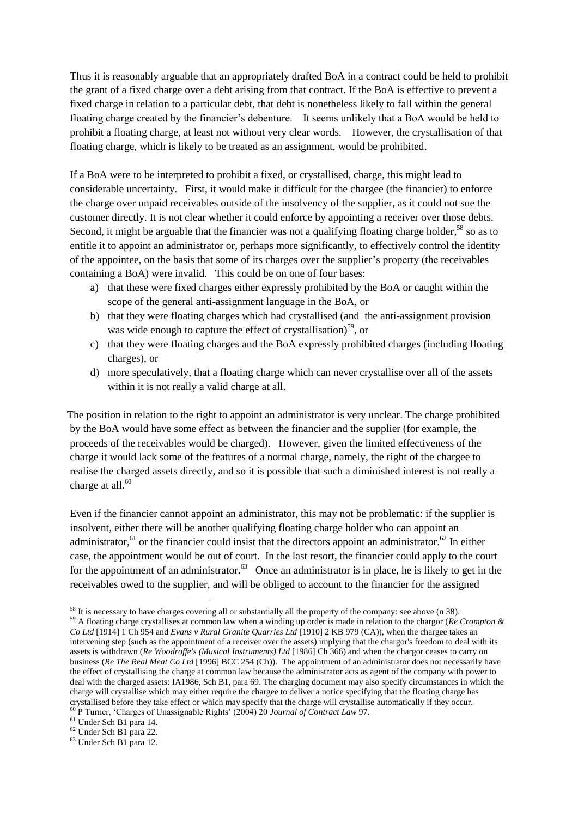Thus it is reasonably arguable that an appropriately drafted BoA in a contract could be held to prohibit the grant of a fixed charge over a debt arising from that contract. If the BoA is effective to prevent a fixed charge in relation to a particular debt, that debt is nonetheless likely to fall within the general floating charge created by the financier's debenture. It seems unlikely that a BoA would be held to prohibit a floating charge, at least not without very clear words. However, the crystallisation of that floating charge, which is likely to be treated as an assignment, would be prohibited.

If a BoA were to be interpreted to prohibit a fixed, or crystallised, charge, this might lead to considerable uncertainty. First, it would make it difficult for the chargee (the financier) to enforce the charge over unpaid receivables outside of the insolvency of the supplier, as it could not sue the customer directly. It is not clear whether it could enforce by appointing a receiver over those debts. Second, it might be arguable that the financier was not a qualifying floating charge holder,<sup>58</sup> so as to entitle it to appoint an administrator or, perhaps more significantly, to effectively control the identity of the appointee, on the basis that some of its charges over the supplier's property (the receivables containing a BoA) were invalid. This could be on one of four bases:

- a) that these were fixed charges either expressly prohibited by the BoA or caught within the scope of the general anti-assignment language in the BoA, or
- b) that they were floating charges which had crystallised (and the anti-assignment provision was wide enough to capture the effect of crystallisation)<sup>59</sup>, or
- c) that they were floating charges and the BoA expressly prohibited charges (including floating charges), or
- d) more speculatively, that a floating charge which can never crystallise over all of the assets within it is not really a valid charge at all.

The position in relation to the right to appoint an administrator is very unclear. The charge prohibited by the BoA would have some effect as between the financier and the supplier (for example, the proceeds of the receivables would be charged). However, given the limited effectiveness of the charge it would lack some of the features of a normal charge, namely, the right of the chargee to realise the charged assets directly, and so it is possible that such a diminished interest is not really a charge at all. $60$ 

Even if the financier cannot appoint an administrator, this may not be problematic: if the supplier is insolvent, either there will be another qualifying floating charge holder who can appoint an administrator, <sup>61</sup> or the financier could insist that the directors appoint an administrator.<sup>62</sup> In either case, the appointment would be out of court. In the last resort, the financier could apply to the court for the appointment of an administrator. $63$  Once an administrator is in place, he is likely to get in the receivables owed to the supplier, and will be obliged to account to the financier for the assigned

 $58$  It is necessary to have charges covering all or substantially all the property of the company: see above (n 38).

<sup>59</sup> A floating charge crystallises at common law when a winding up order is made in relation to the chargor (*Re Crompton & Co Ltd* [1914] 1 Ch 954 and *Evans v Rural Granite Quarries Ltd* [1910] 2 KB 979 (CA)), when the chargee takes an intervening step (such as the appointment of a receiver over the assets) implying that the chargor's freedom to deal with its assets is withdrawn (*Re Woodroffe's (Musical Instruments) Ltd* [1986] Ch 366) and when the chargor ceases to carry on business (*Re The Real Meat Co Ltd* [1996] BCC 254 (Ch)). The appointment of an administrator does not necessarily have the effect of crystallising the charge at common law because the administrator acts as agent of the company with power to deal with the charged assets: IA1986, Sch B1, para 69. The charging document may also specify circumstances in which the charge will crystallise which may either require the chargee to deliver a notice specifying that the floating charge has crystallised before they take effect or which may specify that the charge will crystallise automatically if they occur. <sup>60</sup> P Turner, 'Charges of Unassignable Rights' (2004) 20 *Journal of Contract Law* 97.

<sup>61</sup> Under Sch B1 para 14.

<sup>62</sup> Under Sch B1 para 22.

<sup>63</sup> Under Sch B1 para 12.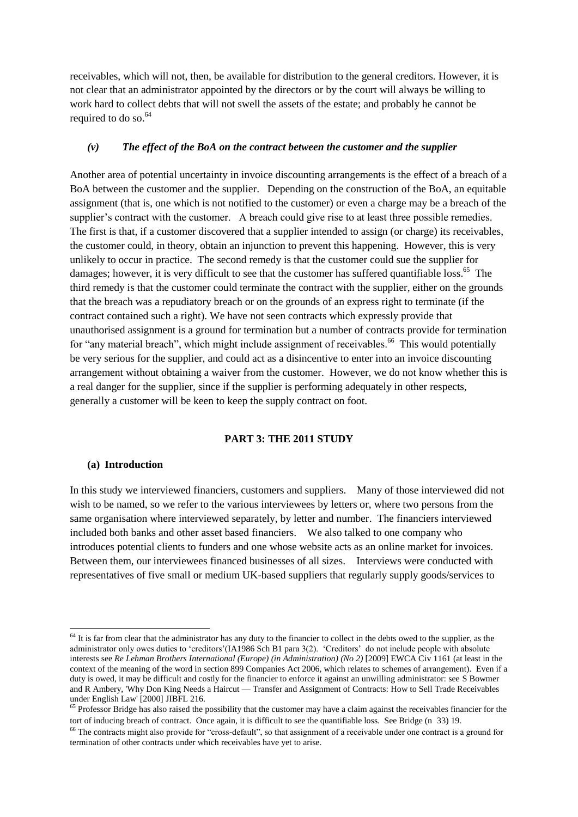receivables, which will not, then, be available for distribution to the general creditors. However, it is not clear that an administrator appointed by the directors or by the court will always be willing to work hard to collect debts that will not swell the assets of the estate; and probably he cannot be required to do so.<sup>64</sup>

#### *(v) The effect of the BoA on the contract between the customer and the supplier*

Another area of potential uncertainty in invoice discounting arrangements is the effect of a breach of a BoA between the customer and the supplier. Depending on the construction of the BoA, an equitable assignment (that is, one which is not notified to the customer) or even a charge may be a breach of the supplier's contract with the customer. A breach could give rise to at least three possible remedies. The first is that, if a customer discovered that a supplier intended to assign (or charge) its receivables, the customer could, in theory, obtain an injunction to prevent this happening. However, this is very unlikely to occur in practice. The second remedy is that the customer could sue the supplier for damages; however, it is very difficult to see that the customer has suffered quantifiable loss.<sup>65</sup> The third remedy is that the customer could terminate the contract with the supplier, either on the grounds that the breach was a repudiatory breach or on the grounds of an express right to terminate (if the contract contained such a right). We have not seen contracts which expressly provide that unauthorised assignment is a ground for termination but a number of contracts provide for termination for "any material breach", which might include assignment of receivables.<sup>66</sup> This would potentially be very serious for the supplier, and could act as a disincentive to enter into an invoice discounting arrangement without obtaining a waiver from the customer. However, we do not know whether this is a real danger for the supplier, since if the supplier is performing adequately in other respects, generally a customer will be keen to keep the supply contract on foot.

#### **PART 3: THE 2011 STUDY**

#### **(a) Introduction**

1

In this study we interviewed financiers, customers and suppliers. Many of those interviewed did not wish to be named, so we refer to the various interviewees by letters or, where two persons from the same organisation where interviewed separately, by letter and number. The financiers interviewed included both banks and other asset based financiers. We also talked to one company who introduces potential clients to funders and one whose website acts as an online market for invoices. Between them, our interviewees financed businesses of all sizes. Interviews were conducted with representatives of five small or medium UK-based suppliers that regularly supply goods/services to

 $64$  It is far from clear that the administrator has any duty to the financier to collect in the debts owed to the supplier, as the administrator only owes duties to 'creditors'(IA1986 Sch B1 para 3(2). 'Creditors' do not include people with absolute interests see *Re Lehman Brothers International (Europe) (in Administration) (No 2)* [2009] EWCA Civ 1161 (at least in the context of the meaning of the word in section 899 Companies Act 2006, which relates to schemes of arrangement). Even if a duty is owed, it may be difficult and costly for the financier to enforce it against an unwilling administrator: see S Bowmer and R Ambery, 'Why Don King Needs a Haircut — Transfer and Assignment of Contracts: How to Sell Trade Receivables under English Law' [2000] JIBFL 216.

<sup>&</sup>lt;sup>65</sup> Professor Bridge has also raised the possibility that the customer may have a claim against the receivables financier for the tort of inducing breach of contract. Once again, it is difficult to see the quantifiable loss. See Bridge (n 33) 19.

<sup>&</sup>lt;sup>66</sup> The contracts might also provide for "cross-default", so that assignment of a receivable under one contract is a ground for termination of other contracts under which receivables have yet to arise.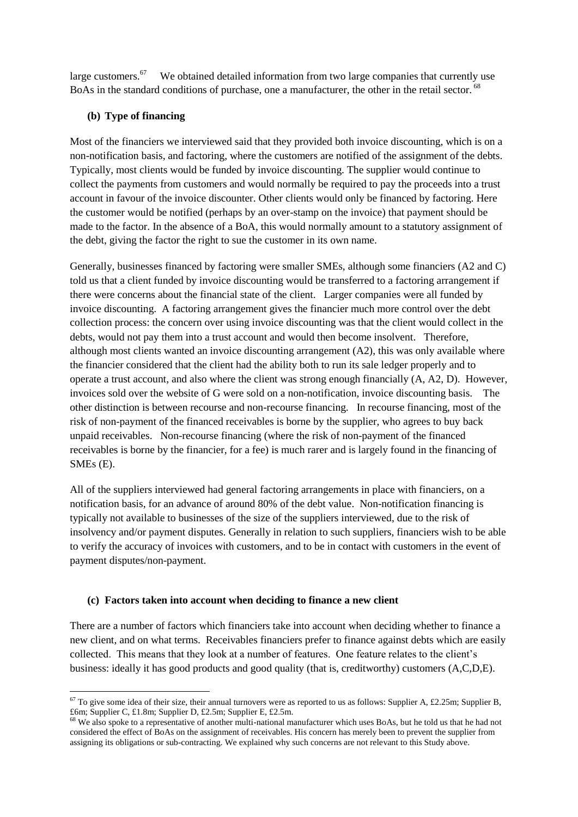large customers. $^{67}$  We obtained detailed information from two large companies that currently use BoAs in the standard conditions of purchase, one a manufacturer, the other in the retail sector. <sup>68</sup>

#### **(b) Type of financing**

1

Most of the financiers we interviewed said that they provided both invoice discounting, which is on a non-notification basis, and factoring, where the customers are notified of the assignment of the debts. Typically, most clients would be funded by invoice discounting. The supplier would continue to collect the payments from customers and would normally be required to pay the proceeds into a trust account in favour of the invoice discounter. Other clients would only be financed by factoring. Here the customer would be notified (perhaps by an over-stamp on the invoice) that payment should be made to the factor. In the absence of a BoA, this would normally amount to a statutory assignment of the debt, giving the factor the right to sue the customer in its own name.

Generally, businesses financed by factoring were smaller SMEs, although some financiers (A2 and C) told us that a client funded by invoice discounting would be transferred to a factoring arrangement if there were concerns about the financial state of the client. Larger companies were all funded by invoice discounting. A factoring arrangement gives the financier much more control over the debt collection process: the concern over using invoice discounting was that the client would collect in the debts, would not pay them into a trust account and would then become insolvent. Therefore, although most clients wanted an invoice discounting arrangement (A2), this was only available where the financier considered that the client had the ability both to run its sale ledger properly and to operate a trust account, and also where the client was strong enough financially (A, A2, D). However, invoices sold over the website of G were sold on a non-notification, invoice discounting basis. The other distinction is between recourse and non-recourse financing. In recourse financing, most of the risk of non-payment of the financed receivables is borne by the supplier, who agrees to buy back unpaid receivables. Non-recourse financing (where the risk of non-payment of the financed receivables is borne by the financier, for a fee) is much rarer and is largely found in the financing of SMEs (E).

All of the suppliers interviewed had general factoring arrangements in place with financiers, on a notification basis, for an advance of around 80% of the debt value. Non-notification financing is typically not available to businesses of the size of the suppliers interviewed, due to the risk of insolvency and/or payment disputes. Generally in relation to such suppliers, financiers wish to be able to verify the accuracy of invoices with customers, and to be in contact with customers in the event of payment disputes/non-payment.

#### **(c) Factors taken into account when deciding to finance a new client**

There are a number of factors which financiers take into account when deciding whether to finance a new client, and on what terms. Receivables financiers prefer to finance against debts which are easily collected. This means that they look at a number of features. One feature relates to the client's business: ideally it has good products and good quality (that is, creditworthy) customers (A,C,D,E).

 $67$  To give some idea of their size, their annual turnovers were as reported to us as follows: Supplier A, £2.25m; Supplier B, £6m; Supplier C, £1.8m; Supplier D, £2.5m; Supplier E, £2.5m.

<sup>&</sup>lt;sup>68</sup> We also spoke to a representative of another multi-national manufacturer which uses BoAs, but he told us that he had not considered the effect of BoAs on the assignment of receivables. His concern has merely been to prevent the supplier from assigning its obligations or sub-contracting. We explained why such concerns are not relevant to this Study above.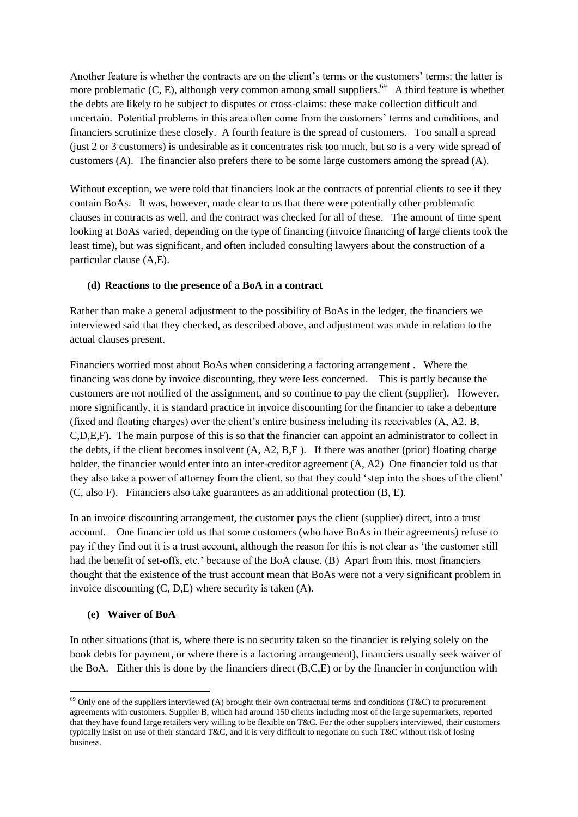Another feature is whether the contracts are on the client's terms or the customers' terms: the latter is more problematic  $(C, E)$ , although very common among small suppliers.<sup>69</sup> A third feature is whether the debts are likely to be subject to disputes or cross-claims: these make collection difficult and uncertain. Potential problems in this area often come from the customers' terms and conditions, and financiers scrutinize these closely. A fourth feature is the spread of customers. Too small a spread (just 2 or 3 customers) is undesirable as it concentrates risk too much, but so is a very wide spread of customers (A). The financier also prefers there to be some large customers among the spread (A).

Without exception, we were told that financiers look at the contracts of potential clients to see if they contain BoAs. It was, however, made clear to us that there were potentially other problematic clauses in contracts as well, and the contract was checked for all of these. The amount of time spent looking at BoAs varied, depending on the type of financing (invoice financing of large clients took the least time), but was significant, and often included consulting lawyers about the construction of a particular clause (A,E).

#### **(d) Reactions to the presence of a BoA in a contract**

Rather than make a general adjustment to the possibility of BoAs in the ledger, the financiers we interviewed said that they checked, as described above, and adjustment was made in relation to the actual clauses present.

Financiers worried most about BoAs when considering a factoring arrangement . Where the financing was done by invoice discounting, they were less concerned. This is partly because the customers are not notified of the assignment, and so continue to pay the client (supplier). However, more significantly, it is standard practice in invoice discounting for the financier to take a debenture (fixed and floating charges) over the client's entire business including its receivables (A, A2, B, C,D,E,F). The main purpose of this is so that the financier can appoint an administrator to collect in the debts, if the client becomes insolvent  $(A, A2, B, F)$ . If there was another (prior) floating charge holder, the financier would enter into an inter-creditor agreement  $(A, A2)$  One financier told us that they also take a power of attorney from the client, so that they could 'step into the shoes of the client' (C, also F). Financiers also take guarantees as an additional protection (B, E).

In an invoice discounting arrangement, the customer pays the client (supplier) direct, into a trust account. One financier told us that some customers (who have BoAs in their agreements) refuse to pay if they find out it is a trust account, although the reason for this is not clear as 'the customer still had the benefit of set-offs, etc.' because of the BoA clause. (B) Apart from this, most financiers thought that the existence of the trust account mean that BoAs were not a very significant problem in invoice discounting (C, D,E) where security is taken (A).

#### **(e) Waiver of BoA**

1

In other situations (that is, where there is no security taken so the financier is relying solely on the book debts for payment, or where there is a factoring arrangement), financiers usually seek waiver of the BoA. Either this is done by the financiers direct (B,C,E) or by the financier in conjunction with

 $69$  Only one of the suppliers interviewed (A) brought their own contractual terms and conditions (T&C) to procurement agreements with customers. Supplier B, which had around 150 clients including most of the large supermarkets, reported that they have found large retailers very willing to be flexible on T&C. For the other suppliers interviewed, their customers typically insist on use of their standard T&C, and it is very difficult to negotiate on such T&C without risk of losing business.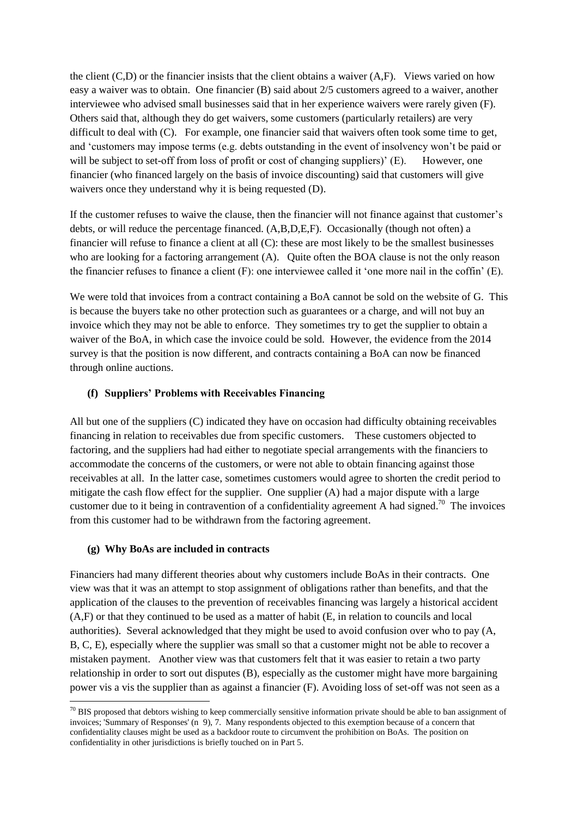the client (C,D) or the financier insists that the client obtains a waiver (A,F). Views varied on how easy a waiver was to obtain. One financier (B) said about 2/5 customers agreed to a waiver, another interviewee who advised small businesses said that in her experience waivers were rarely given (F). Others said that, although they do get waivers, some customers (particularly retailers) are very difficult to deal with (C). For example, one financier said that waivers often took some time to get, and 'customers may impose terms (e.g. debts outstanding in the event of insolvency won't be paid or will be subject to set-off from loss of profit or cost of changing suppliers)' (E). However, one financier (who financed largely on the basis of invoice discounting) said that customers will give waivers once they understand why it is being requested (D).

If the customer refuses to waive the clause, then the financier will not finance against that customer's debts, or will reduce the percentage financed. (A,B,D,E,F). Occasionally (though not often) a financier will refuse to finance a client at all (C): these are most likely to be the smallest businesses who are looking for a factoring arrangement (A). Quite often the BOA clause is not the only reason the financier refuses to finance a client (F): one interviewee called it 'one more nail in the coffin' (E).

We were told that invoices from a contract containing a BoA cannot be sold on the website of G. This is because the buyers take no other protection such as guarantees or a charge, and will not buy an invoice which they may not be able to enforce. They sometimes try to get the supplier to obtain a waiver of the BoA, in which case the invoice could be sold. However, the evidence from the 2014 survey is that the position is now different, and contracts containing a BoA can now be financed through online auctions.

#### **(f) Suppliers' Problems with Receivables Financing**

All but one of the suppliers (C) indicated they have on occasion had difficulty obtaining receivables financing in relation to receivables due from specific customers. These customers objected to factoring, and the suppliers had had either to negotiate special arrangements with the financiers to accommodate the concerns of the customers, or were not able to obtain financing against those receivables at all. In the latter case, sometimes customers would agree to shorten the credit period to mitigate the cash flow effect for the supplier. One supplier (A) had a major dispute with a large customer due to it being in contravention of a confidentiality agreement A had signed.<sup>70</sup> The invoices from this customer had to be withdrawn from the factoring agreement.

#### **(g) Why BoAs are included in contracts**

<u>.</u>

Financiers had many different theories about why customers include BoAs in their contracts. One view was that it was an attempt to stop assignment of obligations rather than benefits, and that the application of the clauses to the prevention of receivables financing was largely a historical accident (A,F) or that they continued to be used as a matter of habit (E, in relation to councils and local authorities). Several acknowledged that they might be used to avoid confusion over who to pay (A, B, C, E), especially where the supplier was small so that a customer might not be able to recover a mistaken payment. Another view was that customers felt that it was easier to retain a two party relationship in order to sort out disputes (B), especially as the customer might have more bargaining power vis a vis the supplier than as against a financier (F). Avoiding loss of set-off was not seen as a

 $70$  BIS proposed that debtors wishing to keep commercially sensitive information private should be able to ban assignment of invoices; 'Summary of Responses' (n 9), 7. Many respondents objected to this exemption because of a concern that confidentiality clauses might be used as a backdoor route to circumvent the prohibition on BoAs. The position on confidentiality in other jurisdictions is briefly touched on in Part 5.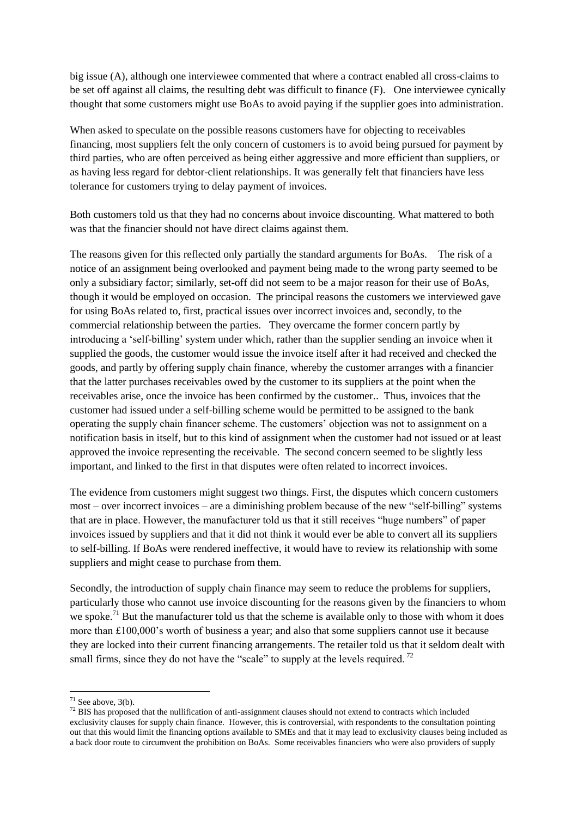big issue (A), although one interviewee commented that where a contract enabled all cross-claims to be set off against all claims, the resulting debt was difficult to finance (F). One interviewee cynically thought that some customers might use BoAs to avoid paying if the supplier goes into administration.

When asked to speculate on the possible reasons customers have for objecting to receivables financing, most suppliers felt the only concern of customers is to avoid being pursued for payment by third parties, who are often perceived as being either aggressive and more efficient than suppliers, or as having less regard for debtor-client relationships. It was generally felt that financiers have less tolerance for customers trying to delay payment of invoices.

Both customers told us that they had no concerns about invoice discounting. What mattered to both was that the financier should not have direct claims against them.

The reasons given for this reflected only partially the standard arguments for BoAs. The risk of a notice of an assignment being overlooked and payment being made to the wrong party seemed to be only a subsidiary factor; similarly, set-off did not seem to be a major reason for their use of BoAs, though it would be employed on occasion. The principal reasons the customers we interviewed gave for using BoAs related to, first, practical issues over incorrect invoices and, secondly, to the commercial relationship between the parties. They overcame the former concern partly by introducing a 'self-billing' system under which, rather than the supplier sending an invoice when it supplied the goods, the customer would issue the invoice itself after it had received and checked the goods, and partly by offering supply chain finance, whereby the customer arranges with a financier that the latter purchases receivables owed by the customer to its suppliers at the point when the receivables arise, once the invoice has been confirmed by the customer.. Thus, invoices that the customer had issued under a self-billing scheme would be permitted to be assigned to the bank operating the supply chain financer scheme. The customers' objection was not to assignment on a notification basis in itself, but to this kind of assignment when the customer had not issued or at least approved the invoice representing the receivable. The second concern seemed to be slightly less important, and linked to the first in that disputes were often related to incorrect invoices.

The evidence from customers might suggest two things. First, the disputes which concern customers most – over incorrect invoices – are a diminishing problem because of the new "self-billing" systems that are in place. However, the manufacturer told us that it still receives "huge numbers" of paper invoices issued by suppliers and that it did not think it would ever be able to convert all its suppliers to self-billing. If BoAs were rendered ineffective, it would have to review its relationship with some suppliers and might cease to purchase from them.

Secondly, the introduction of supply chain finance may seem to reduce the problems for suppliers, particularly those who cannot use invoice discounting for the reasons given by the financiers to whom we spoke.<sup>71</sup> But the manufacturer told us that the scheme is available only to those with whom it does more than £100,000's worth of business a year; and also that some suppliers cannot use it because they are locked into their current financing arrangements. The retailer told us that it seldom dealt with small firms, since they do not have the "scale" to supply at the levels required.  $^{72}$ 

 $71$  See above, 3(b).

 $72$  BIS has proposed that the nullification of anti-assignment clauses should not extend to contracts which included exclusivity clauses for supply chain finance. However, this is controversial, with respondents to the consultation pointing out that this would limit the financing options available to SMEs and that it may lead to exclusivity clauses being included as a back door route to circumvent the prohibition on BoAs. Some receivables financiers who were also providers of supply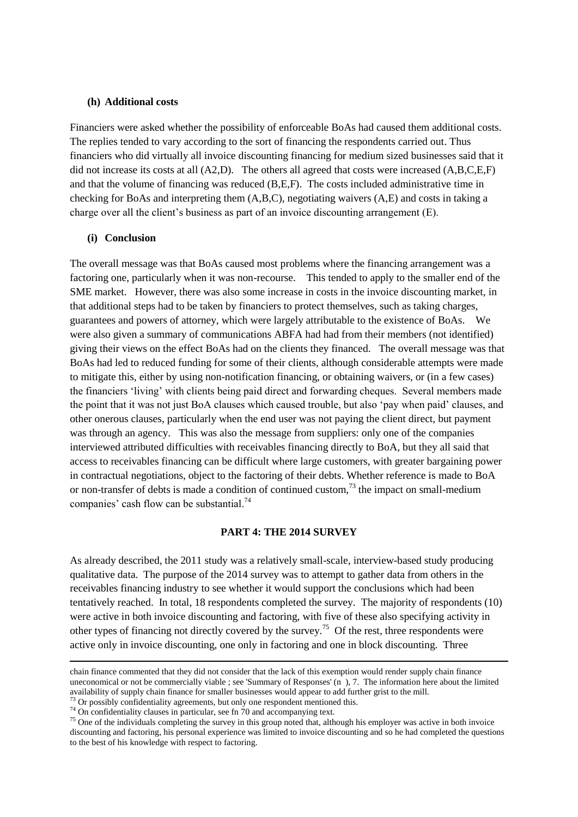#### **(h) Additional costs**

Financiers were asked whether the possibility of enforceable BoAs had caused them additional costs. The replies tended to vary according to the sort of financing the respondents carried out. Thus financiers who did virtually all invoice discounting financing for medium sized businesses said that it did not increase its costs at all (A2,D). The others all agreed that costs were increased (A,B,C,E,F) and that the volume of financing was reduced (B,E,F). The costs included administrative time in checking for BoAs and interpreting them (A,B,C), negotiating waivers (A,E) and costs in taking a charge over all the client's business as part of an invoice discounting arrangement (E).

#### **(i) Conclusion**

1

The overall message was that BoAs caused most problems where the financing arrangement was a factoring one, particularly when it was non-recourse. This tended to apply to the smaller end of the SME market. However, there was also some increase in costs in the invoice discounting market, in that additional steps had to be taken by financiers to protect themselves, such as taking charges, guarantees and powers of attorney, which were largely attributable to the existence of BoAs. We were also given a summary of communications ABFA had had from their members (not identified) giving their views on the effect BoAs had on the clients they financed. The overall message was that BoAs had led to reduced funding for some of their clients, although considerable attempts were made to mitigate this, either by using non-notification financing, or obtaining waivers, or (in a few cases) the financiers 'living' with clients being paid direct and forwarding cheques. Several members made the point that it was not just BoA clauses which caused trouble, but also 'pay when paid' clauses, and other onerous clauses, particularly when the end user was not paying the client direct, but payment was through an agency. This was also the message from suppliers: only one of the companies interviewed attributed difficulties with receivables financing directly to BoA, but they all said that access to receivables financing can be difficult where large customers, with greater bargaining power in contractual negotiations, object to the factoring of their debts. Whether reference is made to BoA or non-transfer of debts is made a condition of continued custom,  $^{73}$  the impact on small-medium companies' cash flow can be substantial.<sup>74</sup>

#### **PART 4: THE 2014 SURVEY**

As already described, the 2011 study was a relatively small-scale, interview-based study producing qualitative data. The purpose of the 2014 survey was to attempt to gather data from others in the receivables financing industry to see whether it would support the conclusions which had been tentatively reached. In total, 18 respondents completed the survey. The majority of respondents (10) were active in both invoice discounting and factoring, with five of these also specifying activity in other types of financing not directly covered by the survey.<sup>75</sup> Of the rest, three respondents were active only in invoice discounting, one only in factoring and one in block discounting. Three

chain finance commented that they did not consider that the lack of this exemption would render supply chain finance uneconomical or not be commercially viable ; see 'Summary of Responses' (n ), 7. The information here about the limited availability of supply chain finance for smaller businesses would appear to add further grist to the mill.

 $73$  Or possibly confidentiality agreements, but only one respondent mentioned this.

<sup>&</sup>lt;sup>74</sup> On confidentiality clauses in particular, see fn 70 and accompanying text.

<sup>&</sup>lt;sup>75</sup> One of the individuals completing the survey in this group noted that, although his employer was active in both invoice discounting and factoring, his personal experience was limited to invoice discounting and so he had completed the questions to the best of his knowledge with respect to factoring.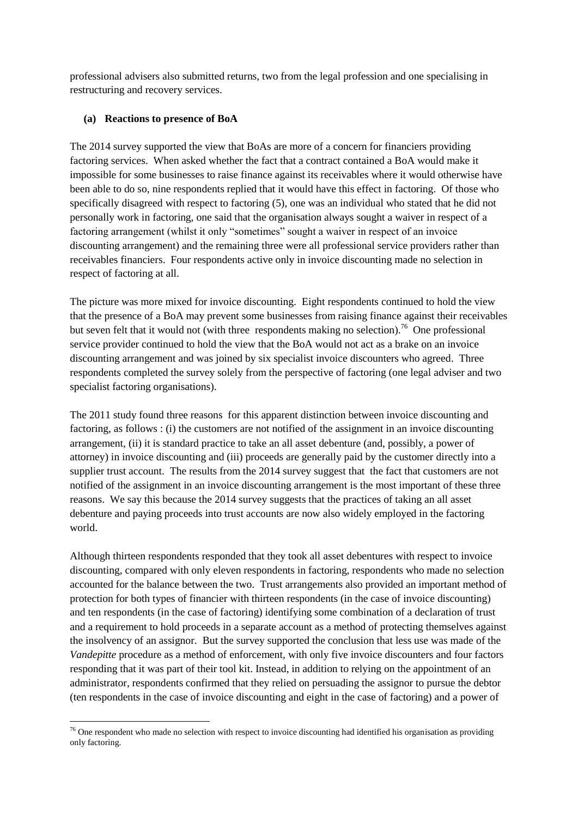professional advisers also submitted returns, two from the legal profession and one specialising in restructuring and recovery services.

#### **(a) Reactions to presence of BoA**

The 2014 survey supported the view that BoAs are more of a concern for financiers providing factoring services. When asked whether the fact that a contract contained a BoA would make it impossible for some businesses to raise finance against its receivables where it would otherwise have been able to do so, nine respondents replied that it would have this effect in factoring. Of those who specifically disagreed with respect to factoring (5), one was an individual who stated that he did not personally work in factoring, one said that the organisation always sought a waiver in respect of a factoring arrangement (whilst it only "sometimes" sought a waiver in respect of an invoice discounting arrangement) and the remaining three were all professional service providers rather than receivables financiers. Four respondents active only in invoice discounting made no selection in respect of factoring at all.

The picture was more mixed for invoice discounting. Eight respondents continued to hold the view that the presence of a BoA may prevent some businesses from raising finance against their receivables but seven felt that it would not (with three respondents making no selection).<sup>76</sup> One professional service provider continued to hold the view that the BoA would not act as a brake on an invoice discounting arrangement and was joined by six specialist invoice discounters who agreed. Three respondents completed the survey solely from the perspective of factoring (one legal adviser and two specialist factoring organisations).

The 2011 study found three reasons for this apparent distinction between invoice discounting and factoring, as follows : (i) the customers are not notified of the assignment in an invoice discounting arrangement, (ii) it is standard practice to take an all asset debenture (and, possibly, a power of attorney) in invoice discounting and (iii) proceeds are generally paid by the customer directly into a supplier trust account. The results from the 2014 survey suggest that the fact that customers are not notified of the assignment in an invoice discounting arrangement is the most important of these three reasons. We say this because the 2014 survey suggests that the practices of taking an all asset debenture and paying proceeds into trust accounts are now also widely employed in the factoring world.

Although thirteen respondents responded that they took all asset debentures with respect to invoice discounting, compared with only eleven respondents in factoring, respondents who made no selection accounted for the balance between the two. Trust arrangements also provided an important method of protection for both types of financier with thirteen respondents (in the case of invoice discounting) and ten respondents (in the case of factoring) identifying some combination of a declaration of trust and a requirement to hold proceeds in a separate account as a method of protecting themselves against the insolvency of an assignor. But the survey supported the conclusion that less use was made of the *Vandepitte* procedure as a method of enforcement, with only five invoice discounters and four factors responding that it was part of their tool kit. Instead, in addition to relying on the appointment of an administrator, respondents confirmed that they relied on persuading the assignor to pursue the debtor (ten respondents in the case of invoice discounting and eight in the case of factoring) and a power of

<sup>&</sup>lt;u>.</u>  $76$  One respondent who made no selection with respect to invoice discounting had identified his organisation as providing only factoring.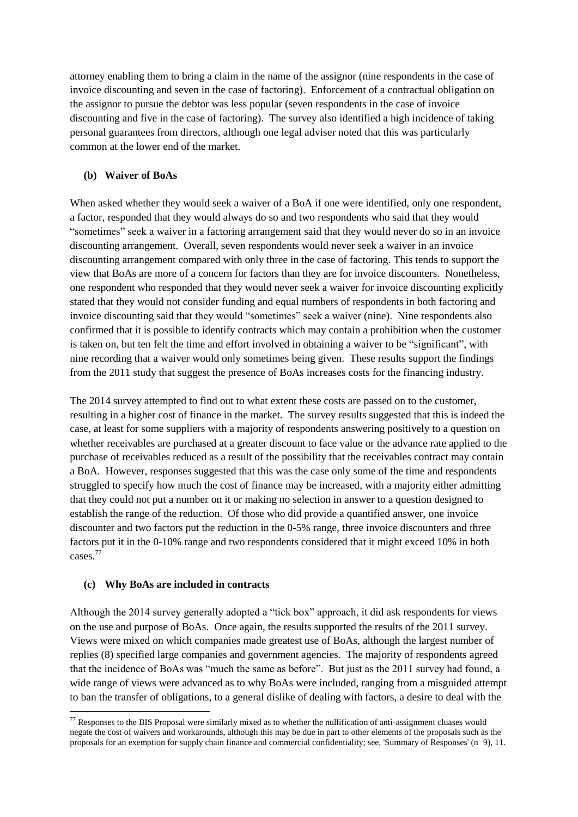attorney enabling them to bring a claim in the name of the assignor (nine respondents in the case of invoice discounting and seven in the case of factoring). Enforcement of a contractual obligation on the assignor to pursue the debtor was less popular (seven respondents in the case of invoice discounting and five in the case of factoring). The survey also identified a high incidence of taking personal guarantees from directors, although one legal adviser noted that this was particularly common at the lower end of the market.

#### **(b) Waiver of BoAs**

When asked whether they would seek a waiver of a BoA if one were identified, only one respondent, a factor, responded that they would always do so and two respondents who said that they would "sometimes" seek a waiver in a factoring arrangement said that they would never do so in an invoice discounting arrangement. Overall, seven respondents would never seek a waiver in an invoice discounting arrangement compared with only three in the case of factoring. This tends to support the view that BoAs are more of a concern for factors than they are for invoice discounters. Nonetheless, one respondent who responded that they would never seek a waiver for invoice discounting explicitly stated that they would not consider funding and equal numbers of respondents in both factoring and invoice discounting said that they would "sometimes" seek a waiver (nine). Nine respondents also confirmed that it is possible to identify contracts which may contain a prohibition when the customer is taken on, but ten felt the time and effort involved in obtaining a waiver to be "significant", with nine recording that a waiver would only sometimes being given. These results support the findings from the 2011 study that suggest the presence of BoAs increases costs for the financing industry.

The 2014 survey attempted to find out to what extent these costs are passed on to the customer, resulting in a higher cost of finance in the market. The survey results suggested that this is indeed the case, at least for some suppliers with a majority of respondents answering positively to a question on whether receivables are purchased at a greater discount to face value or the advance rate applied to the purchase of receivables reduced as a result of the possibility that the receivables contract may contain a BoA. However, responses suggested that this was the case only some of the time and respondents struggled to specify how much the cost of finance may be increased, with a majority either admitting that they could not put a number on it or making no selection in answer to a question designed to establish the range of the reduction. Of those who did provide a quantified answer, one invoice discounter and two factors put the reduction in the 0-5% range, three invoice discounters and three factors put it in the 0-10% range and two respondents considered that it might exceed 10% in both cases.<sup>77</sup>

#### **(c) Why BoAs are included in contracts**

1

Although the 2014 survey generally adopted a "tick box" approach, it did ask respondents for views on the use and purpose of BoAs. Once again, the results supported the results of the 2011 survey. Views were mixed on which companies made greatest use of BoAs, although the largest number of replies (8) specified large companies and government agencies. The majority of respondents agreed that the incidence of BoAs was "much the same as before". But just as the 2011 survey had found, a wide range of views were advanced as to why BoAs were included, ranging from a misguided attempt to ban the transfer of obligations, to a general dislike of dealing with factors, a desire to deal with the

 $77$  Responses to the BIS Proposal were similarly mixed as to whether the nullification of anti-assignment cluases would negate the cost of waivers and workarounds, although this may be due in part to other elements of the proposals such as the proposals for an exemption for supply chain finance and commercial confidentiality; see, 'Summary of Responses' (n 9), 11.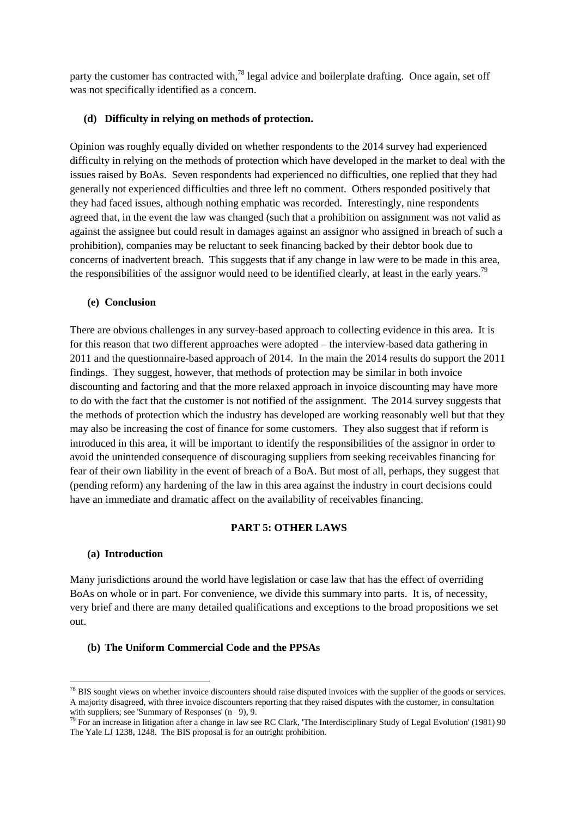party the customer has contracted with, $^{78}$  legal advice and boilerplate drafting. Once again, set off was not specifically identified as a concern.

#### **(d) Difficulty in relying on methods of protection.**

Opinion was roughly equally divided on whether respondents to the 2014 survey had experienced difficulty in relying on the methods of protection which have developed in the market to deal with the issues raised by BoAs. Seven respondents had experienced no difficulties, one replied that they had generally not experienced difficulties and three left no comment. Others responded positively that they had faced issues, although nothing emphatic was recorded. Interestingly, nine respondents agreed that, in the event the law was changed (such that a prohibition on assignment was not valid as against the assignee but could result in damages against an assignor who assigned in breach of such a prohibition), companies may be reluctant to seek financing backed by their debtor book due to concerns of inadvertent breach. This suggests that if any change in law were to be made in this area, the responsibilities of the assignor would need to be identified clearly, at least in the early years.<sup>79</sup>

#### **(e) Conclusion**

There are obvious challenges in any survey-based approach to collecting evidence in this area. It is for this reason that two different approaches were adopted – the interview-based data gathering in 2011 and the questionnaire-based approach of 2014. In the main the 2014 results do support the 2011 findings. They suggest, however, that methods of protection may be similar in both invoice discounting and factoring and that the more relaxed approach in invoice discounting may have more to do with the fact that the customer is not notified of the assignment. The 2014 survey suggests that the methods of protection which the industry has developed are working reasonably well but that they may also be increasing the cost of finance for some customers. They also suggest that if reform is introduced in this area, it will be important to identify the responsibilities of the assignor in order to avoid the unintended consequence of discouraging suppliers from seeking receivables financing for fear of their own liability in the event of breach of a BoA. But most of all, perhaps, they suggest that (pending reform) any hardening of the law in this area against the industry in court decisions could have an immediate and dramatic affect on the availability of receivables financing.

#### **PART 5: OTHER LAWS**

#### **(a) Introduction**

1

Many jurisdictions around the world have legislation or case law that has the effect of overriding BoAs on whole or in part. For convenience, we divide this summary into parts. It is, of necessity, very brief and there are many detailed qualifications and exceptions to the broad propositions we set out.

#### **(b) The Uniform Commercial Code and the PPSAs**

<sup>&</sup>lt;sup>78</sup> BIS sought views on whether invoice discounters should raise disputed invoices with the supplier of the goods or services. A majority disagreed, with three invoice discounters reporting that they raised disputes with the customer, in consultation with suppliers; see 'Summary of Responses' (n 9), 9.

<sup>&</sup>lt;sup>79</sup> For an increase in litigation after a change in law see RC Clark, 'The Interdisciplinary Study of Legal Evolution' (1981) 90 The Yale LJ 1238, 1248. The BIS proposal is for an outright prohibition.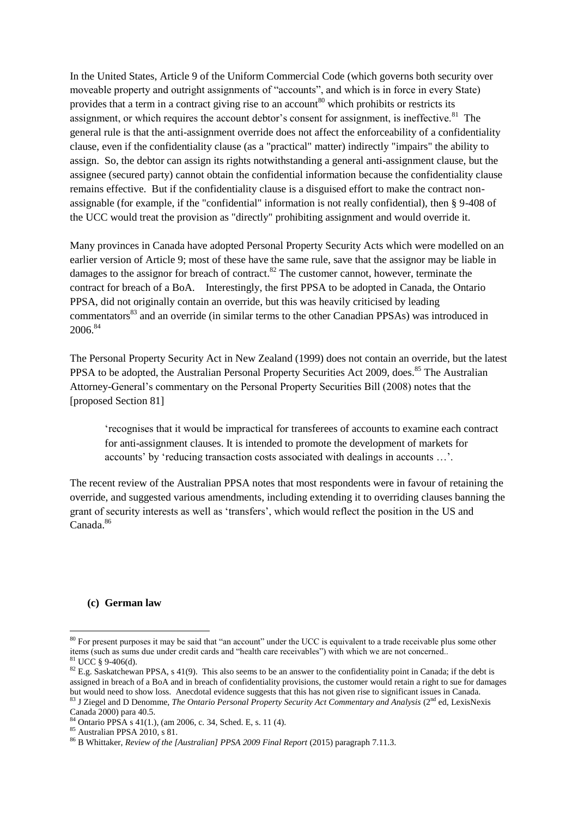In the United States, Article 9 of the Uniform Commercial Code (which governs both security over moveable property and outright assignments of "accounts", and which is in force in every State) provides that a term in a contract giving rise to an account<sup>80</sup> which prohibits or restricts its assignment, or which requires the account debtor's consent for assignment, is ineffective.<sup>81</sup> The general rule is that the anti-assignment override does not affect the enforceability of a confidentiality clause, even if the confidentiality clause (as a "practical" matter) indirectly "impairs" the ability to assign. So, the debtor can assign its rights notwithstanding a general anti-assignment clause, but the assignee (secured party) cannot obtain the confidential information because the confidentiality clause remains effective. But if the confidentiality clause is a disguised effort to make the contract nonassignable (for example, if the "confidential" information is not really confidential), then § 9-408 of the UCC would treat the provision as "directly" prohibiting assignment and would override it.

Many provinces in Canada have adopted Personal Property Security Acts which were modelled on an earlier version of Article 9; most of these have the same rule, save that the assignor may be liable in damages to the assignor for breach of contract.<sup>82</sup> The customer cannot, however, terminate the contract for breach of a BoA. Interestingly, the first PPSA to be adopted in Canada, the Ontario PPSA, did not originally contain an override, but this was heavily criticised by leading commentators<sup>83</sup> and an override (in similar terms to the other Canadian PPSAs) was introduced in 2006.84

The Personal Property Security Act in New Zealand (1999) does not contain an override, but the latest PPSA to be adopted, the Australian Personal Property Securities Act 2009, does.<sup>85</sup> The Australian Attorney-General's commentary on the Personal Property Securities Bill (2008) notes that the [proposed Section 81]

'recognises that it would be impractical for transferees of accounts to examine each contract for anti-assignment clauses. It is intended to promote the development of markets for accounts' by 'reducing transaction costs associated with dealings in accounts …'.

The recent review of the Australian PPSA notes that most respondents were in favour of retaining the override, and suggested various amendments, including extending it to overriding clauses banning the grant of security interests as well as 'transfers', which would reflect the position in the US and Canada.<sup>86</sup>

#### **(c) German law**

<sup>&</sup>lt;sup>80</sup> For present purposes it may be said that "an account" under the UCC is equivalent to a trade receivable plus some other items (such as sums due under credit cards and "health care receivables") with which we are not concerned..  $1$  UCC § 9-406(d).

 $82$  E.g. Saskatchewan PPSA, s 41(9). This also seems to be an answer to the confidentiality point in Canada; if the debt is assigned in breach of a BoA and in breach of confidentiality provisions, the customer would retain a right to sue for damages but would need to show loss. Anecdotal evidence suggests that this has not given rise to significant issues in Canada. <sup>83</sup> J Ziegel and D Denomme, *The Ontario Personal Property Security Act Commentary and Analysis* (2nd ed, LexisNexis Canada 2000) para 40.5.

<sup>84</sup> Ontario PPSA s 41(1.), (am 2006, c. 34, Sched. E, s. 11 (4).

<sup>85</sup> Australian PPSA 2010, s 81.

<sup>&</sup>lt;sup>86</sup> B Whittaker, *Review of the [Australian] PPSA 2009 Final Report* (2015) paragraph 7.11.3.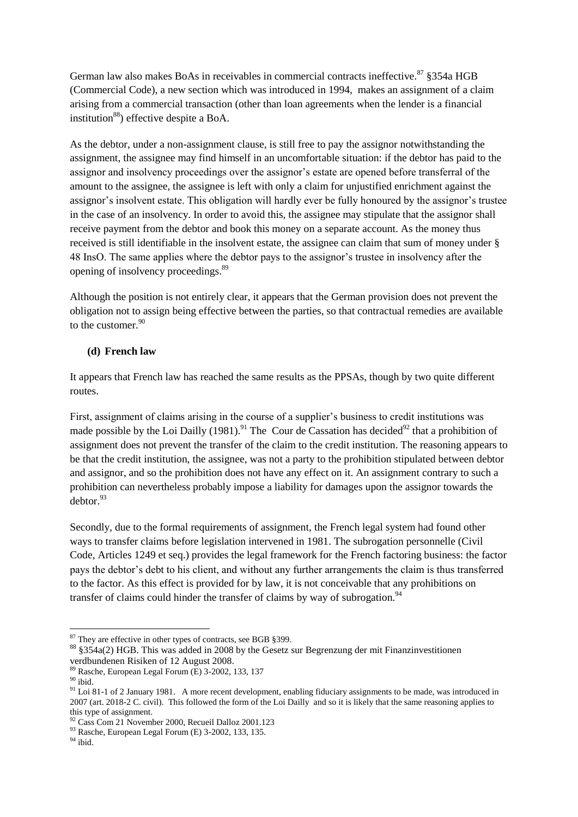German law also makes BoAs in receivables in commercial contracts ineffective.<sup>87</sup> §354a HGB (Commercial Code), a new section which was introduced in 1994, makes an assignment of a claim arising from a commercial transaction (other than loan agreements when the lender is a financial institution<sup>88</sup>) effective despite a BoA.

As the debtor, under a non-assignment clause, is still free to pay the assignor notwithstanding the assignment, the assignee may find himself in an uncomfortable situation: if the debtor has paid to the assignor and insolvency proceedings over the assignor's estate are opened before transferral of the amount to the assignee, the assignee is left with only a claim for unjustified enrichment against the assignor's insolvent estate. This obligation will hardly ever be fully honoured by the assignor's trustee in the case of an insolvency. In order to avoid this, the assignee may stipulate that the assignor shall receive payment from the debtor and book this money on a separate account. As the money thus received is still identifiable in the insolvent estate, the assignee can claim that sum of money under § 48 InsO. The same applies where the debtor pays to the assignor's trustee in insolvency after the opening of insolvency proceedings.<sup>89</sup>

Although the position is not entirely clear, it appears that the German provision does not prevent the obligation not to assign being effective between the parties, so that contractual remedies are available to the customer. $90$ 

#### **(d) French law**

It appears that French law has reached the same results as the PPSAs, though by two quite different routes.

First, assignment of claims arising in the course of a supplier's business to credit institutions was made possible by the Loi Dailly (1981).<sup>91</sup> The Cour de Cassation has decided<sup>92</sup> that a prohibition of assignment does not prevent the transfer of the claim to the credit institution. The reasoning appears to be that the credit institution, the assignee, was not a party to the prohibition stipulated between debtor and assignor, and so the prohibition does not have any effect on it. An assignment contrary to such a prohibition can nevertheless probably impose a liability for damages upon the assignor towards the  $dektor.<sup>93</sup>$ 

Secondly, due to the formal requirements of assignment, the French legal system had found other ways to transfer claims before legislation intervened in 1981. The subrogation personnelle (Civil Code, Articles 1249 et seq.) provides the legal framework for the French factoring business: the factor pays the debtor's debt to his client, and without any further arrangements the claim is thus transferred to the factor. As this effect is provided for by law, it is not conceivable that any prohibitions on transfer of claims could hinder the transfer of claims by way of subrogation.<sup>94</sup>

<sup>1</sup> <sup>87</sup> They are effective in other types of contracts, see BGB §399.

<sup>88</sup> §354a(2) HGB. This was added in 2008 by the Gesetz sur Begrenzung der mit Finanzinvestitionen verdbundenen Risiken of 12 August 2008.

<sup>89</sup> Rasche, European Legal Forum (E) 3-2002, 133, 137

 $90$  ibid.

 $91$  Loi 81-1 of 2 January 1981. A more recent development, enabling fiduciary assignments to be made, was introduced in 2007 (art. 2018-2 C. civil). This followed the form of the Loi Dailly and so it is likely that the same reasoning applies to this type of assignment.

<sup>&</sup>lt;sup>92</sup> Cass Com 21 November 2000, Recueil Dalloz 2001.123

<sup>93</sup> Rasche, European Legal Forum (E) 3-2002, 133, 135.

 $94$  ibid.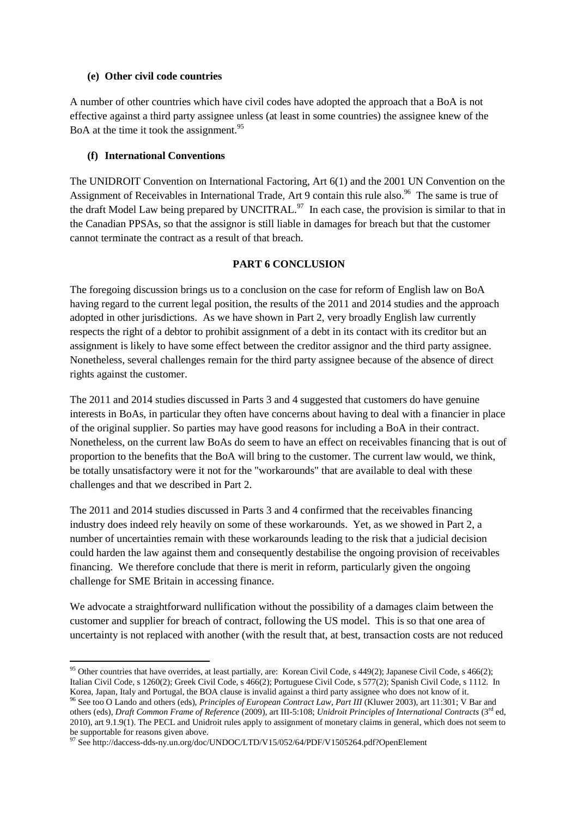#### **(e) Other civil code countries**

A number of other countries which have civil codes have adopted the approach that a BoA is not effective against a third party assignee unless (at least in some countries) the assignee knew of the BoA at the time it took the assignment.<sup>95</sup>

#### **(f) International Conventions**

1

The UNIDROIT Convention on International Factoring, Art 6(1) and the 2001 UN Convention on the Assignment of Receivables in International Trade, Art 9 contain this rule also.<sup>96</sup> The same is true of the draft Model Law being prepared by UNCITRAL.<sup>97</sup> In each case, the provision is similar to that in the Canadian PPSAs, so that the assignor is still liable in damages for breach but that the customer cannot terminate the contract as a result of that breach.

#### **PART 6 CONCLUSION**

The foregoing discussion brings us to a conclusion on the case for reform of English law on BoA having regard to the current legal position, the results of the 2011 and 2014 studies and the approach adopted in other jurisdictions. As we have shown in Part 2, very broadly English law currently respects the right of a debtor to prohibit assignment of a debt in its contact with its creditor but an assignment is likely to have some effect between the creditor assignor and the third party assignee. Nonetheless, several challenges remain for the third party assignee because of the absence of direct rights against the customer.

The 2011 and 2014 studies discussed in Parts 3 and 4 suggested that customers do have genuine interests in BoAs, in particular they often have concerns about having to deal with a financier in place of the original supplier. So parties may have good reasons for including a BoA in their contract. Nonetheless, on the current law BoAs do seem to have an effect on receivables financing that is out of proportion to the benefits that the BoA will bring to the customer. The current law would, we think, be totally unsatisfactory were it not for the "workarounds" that are available to deal with these challenges and that we described in Part 2.

The 2011 and 2014 studies discussed in Parts 3 and 4 confirmed that the receivables financing industry does indeed rely heavily on some of these workarounds. Yet, as we showed in Part 2, a number of uncertainties remain with these workarounds leading to the risk that a judicial decision could harden the law against them and consequently destabilise the ongoing provision of receivables financing. We therefore conclude that there is merit in reform, particularly given the ongoing challenge for SME Britain in accessing finance.

We advocate a straightforward nullification without the possibility of a damages claim between the customer and supplier for breach of contract, following the US model. This is so that one area of uncertainty is not replaced with another (with the result that, at best, transaction costs are not reduced

<sup>&</sup>lt;sup>95</sup> Other countries that have overrides, at least partially, are: Korean Civil Code, s 449(2); Japanese Civil Code, s 466(2); Italian Civil Code, s 1260(2); Greek Civil Code, s 466(2); Portuguese Civil Code, s 577(2); Spanish Civil Code, s 1112. In Korea, Japan, Italy and Portugal, the BOA clause is invalid against a third party assignee who does not know of it.

<sup>&</sup>lt;sup>96</sup> See too O Lando and others (eds), *Principles of European Contract Law, Part III* (Kluwer 2003), art 11:301; V Bar and others (eds), *Draft Common Frame of Reference* (2009), art III-5:108; *Unidroit Principles of International Contracts* (3rd ed, 2010), art 9.1.9(1). The PECL and Unidroit rules apply to assignment of monetary claims in general, which does not seem to be supportable for reasons given above.

<sup>97</sup> See http://daccess-dds-ny.un.org/doc/UNDOC/LTD/V15/052/64/PDF/V1505264.pdf?OpenElement